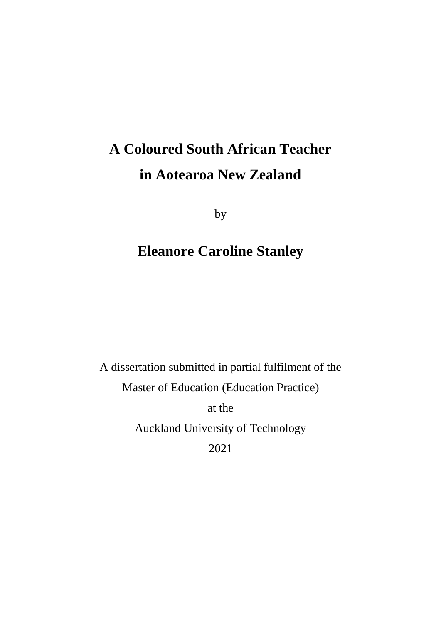# **A Coloured South African Teacher in Aotearoa New Zealand**

by

## **Eleanore Caroline Stanley**

A dissertation submitted in partial fulfilment of the Master of Education (Education Practice) at the Auckland University of Technology 2021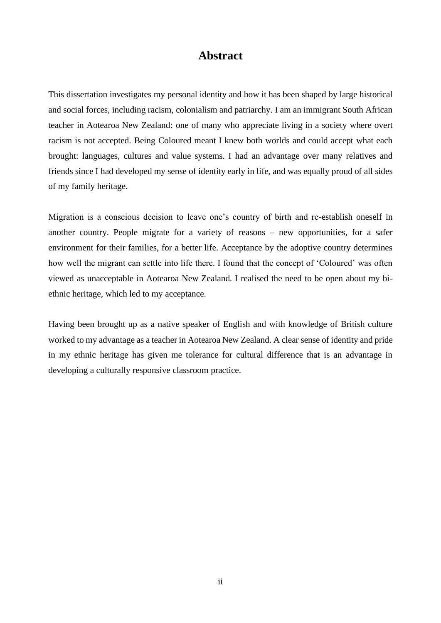### **Abstract**

This dissertation investigates my personal identity and how it has been shaped by large historical and social forces, including racism, colonialism and patriarchy. I am an immigrant South African teacher in Aotearoa New Zealand: one of many who appreciate living in a society where overt racism is not accepted. Being Coloured meant I knew both worlds and could accept what each brought: languages, cultures and value systems. I had an advantage over many relatives and friends since I had developed my sense of identity early in life, and was equally proud of all sides of my family heritage.

Migration is a conscious decision to leave one's country of birth and re-establish oneself in another country. People migrate for a variety of reasons – new opportunities, for a safer environment for their families, for a better life. Acceptance by the adoptive country determines how well the migrant can settle into life there. I found that the concept of 'Coloured' was often viewed as unacceptable in Aotearoa New Zealand. I realised the need to be open about my biethnic heritage, which led to my acceptance.

Having been brought up as a native speaker of English and with knowledge of British culture worked to my advantage as a teacher in Aotearoa New Zealand. A clear sense of identity and pride in my ethnic heritage has given me tolerance for cultural difference that is an advantage in developing a culturally responsive classroom practice.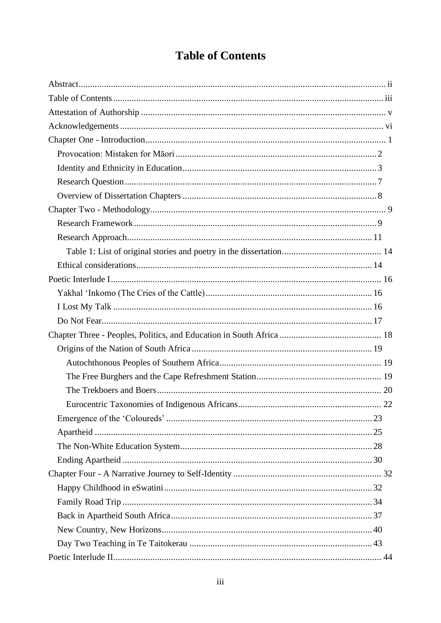## **Table of Contents**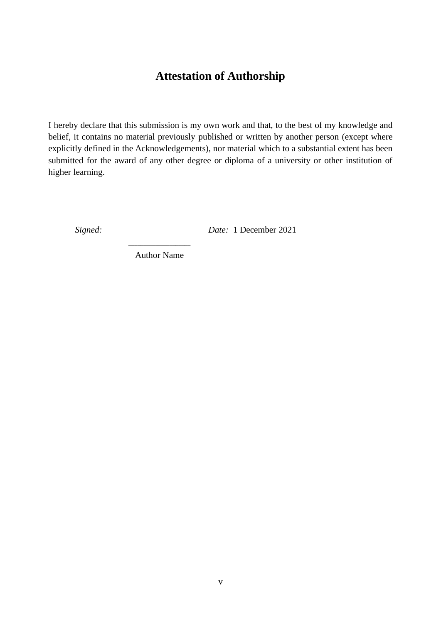## **Attestation of Authorship**

I hereby declare that this submission is my own work and that, to the best of my knowledge and belief, it contains no material previously published or written by another person (except where explicitly defined in the Acknowledgements), nor material which to a substantial extent has been submitted for the award of any other degree or diploma of a university or other institution of higher learning.

*Signed: Date:* 1 December 2021

\_\_\_\_\_\_\_\_\_\_\_\_\_\_\_\_\_\_\_\_\_ Author Name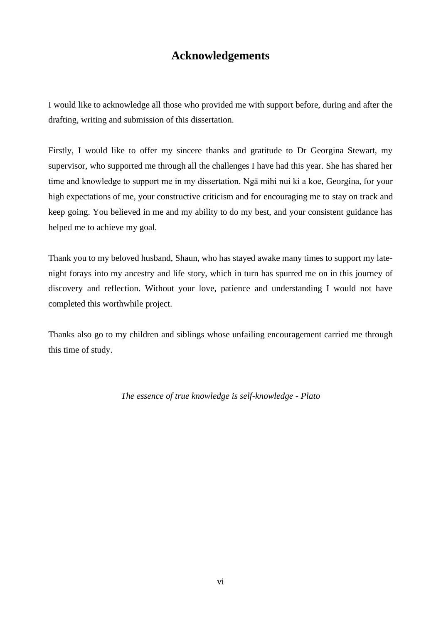## **Acknowledgements**

I would like to acknowledge all those who provided me with support before, during and after the drafting, writing and submission of this dissertation.

Firstly, I would like to offer my sincere thanks and gratitude to Dr Georgina Stewart, my supervisor, who supported me through all the challenges I have had this year. She has shared her time and knowledge to support me in my dissertation. Ngā mihi nui ki a koe, Georgina, for your high expectations of me, your constructive criticism and for encouraging me to stay on track and keep going. You believed in me and my ability to do my best, and your consistent guidance has helped me to achieve my goal.

Thank you to my beloved husband, Shaun, who has stayed awake many times to support my latenight forays into my ancestry and life story, which in turn has spurred me on in this journey of discovery and reflection. Without your love, patience and understanding I would not have completed this worthwhile project.

Thanks also go to my children and siblings whose unfailing encouragement carried me through this time of study.

*The essence of true knowledge is self-knowledge - Plato*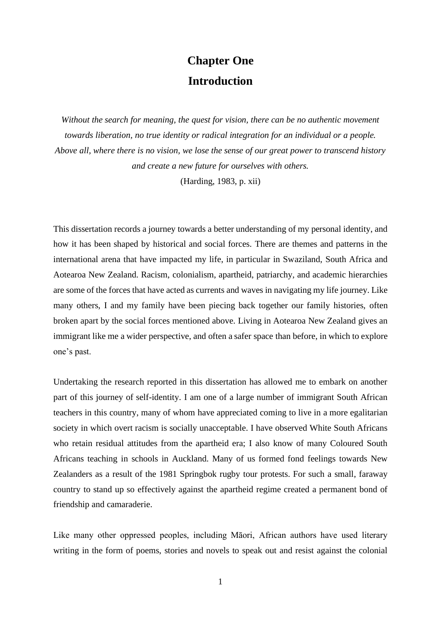## **Chapter One Introduction**

*Without the search for meaning, the quest for vision, there can be no authentic movement towards liberation, no true identity or radical integration for an individual or a people. Above all, where there is no vision, we lose the sense of our great power to transcend history and create a new future for ourselves with others.* (Harding, 1983, p. xii)

This dissertation records a journey towards a better understanding of my personal identity, and how it has been shaped by historical and social forces. There are themes and patterns in the international arena that have impacted my life, in particular in Swaziland, South Africa and Aotearoa New Zealand. Racism, colonialism, apartheid, patriarchy, and academic hierarchies are some of the forces that have acted as currents and waves in navigating my life journey. Like many others, I and my family have been piecing back together our family histories, often broken apart by the social forces mentioned above. Living in Aotearoa New Zealand gives an immigrant like me a wider perspective, and often a safer space than before, in which to explore one's past.

Undertaking the research reported in this dissertation has allowed me to embark on another part of this journey of self-identity. I am one of a large number of immigrant South African teachers in this country, many of whom have appreciated coming to live in a more egalitarian society in which overt racism is socially unacceptable. I have observed White South Africans who retain residual attitudes from the apartheid era; I also know of many Coloured South Africans teaching in schools in Auckland. Many of us formed fond feelings towards New Zealanders as a result of the 1981 Springbok rugby tour protests. For such a small, faraway country to stand up so effectively against the apartheid regime created a permanent bond of friendship and camaraderie.

Like many other oppressed peoples, including Māori, African authors have used literary writing in the form of poems, stories and novels to speak out and resist against the colonial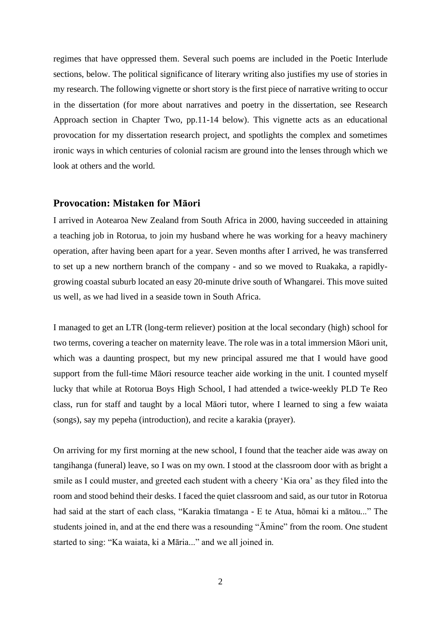regimes that have oppressed them. Several such poems are included in the Poetic Interlude sections, below. The political significance of literary writing also justifies my use of stories in my research. The following vignette or short story is the first piece of narrative writing to occur in the dissertation (for more about narratives and poetry in the dissertation, see Research Approach section in Chapter Two, pp.11-14 below). This vignette acts as an educational provocation for my dissertation research project, and spotlights the complex and sometimes ironic ways in which centuries of colonial racism are ground into the lenses through which we look at others and the world.

#### **Provocation: Mistaken for Māori**

I arrived in Aotearoa New Zealand from South Africa in 2000, having succeeded in attaining a teaching job in Rotorua, to join my husband where he was working for a heavy machinery operation, after having been apart for a year. Seven months after I arrived, he was transferred to set up a new northern branch of the company - and so we moved to Ruakaka, a rapidlygrowing coastal suburb located an easy 20-minute drive south of Whangarei. This move suited us well, as we had lived in a seaside town in South Africa.

I managed to get an LTR (long-term reliever) position at the local secondary (high) school for two terms, covering a teacher on maternity leave. The role was in a total immersion Māori unit, which was a daunting prospect, but my new principal assured me that I would have good support from the full-time Māori resource teacher aide working in the unit. I counted myself lucky that while at Rotorua Boys High School, I had attended a twice-weekly PLD Te Reo class, run for staff and taught by a local Māori tutor, where I learned to sing a few waiata (songs), say my pepeha (introduction), and recite a karakia (prayer).

On arriving for my first morning at the new school, I found that the teacher aide was away on tangihanga (funeral) leave, so I was on my own. I stood at the classroom door with as bright a smile as I could muster, and greeted each student with a cheery 'Kia ora' as they filed into the room and stood behind their desks. I faced the quiet classroom and said, as our tutor in Rotorua had said at the start of each class, "Karakia tīmatanga - E te Atua, hōmai ki a mātou..." The students joined in, and at the end there was a resounding "Āmine" from the room. One student started to sing: "Ka waiata, ki a Māria..." and we all joined in.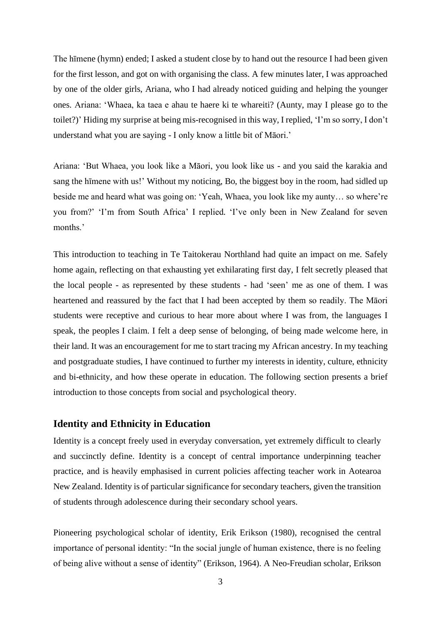The hīmene (hymn) ended; I asked a student close by to hand out the resource I had been given for the first lesson, and got on with organising the class. A few minutes later, I was approached by one of the older girls, Ariana, who I had already noticed guiding and helping the younger ones. Ariana: 'Whaea, ka taea e ahau te haere ki te whareiti? (Aunty, may I please go to the toilet?)' Hiding my surprise at being mis-recognised in this way, I replied, 'I'm so sorry, I don't understand what you are saying - I only know a little bit of Māori.'

Ariana: 'But Whaea, you look like a Māori, you look like us - and you said the karakia and sang the hīmene with us!' Without my noticing, Bo, the biggest boy in the room, had sidled up beside me and heard what was going on: 'Yeah, Whaea, you look like my aunty… so where're you from?' 'I'm from South Africa' I replied. 'I've only been in New Zealand for seven months.'

This introduction to teaching in Te Taitokerau Northland had quite an impact on me. Safely home again, reflecting on that exhausting yet exhilarating first day, I felt secretly pleased that the local people - as represented by these students - had 'seen' me as one of them. I was heartened and reassured by the fact that I had been accepted by them so readily. The Māori students were receptive and curious to hear more about where I was from, the languages I speak, the peoples I claim. I felt a deep sense of belonging, of being made welcome here, in their land. It was an encouragement for me to start tracing my African ancestry. In my teaching and postgraduate studies, I have continued to further my interests in identity, culture, ethnicity and bi-ethnicity, and how these operate in education. The following section presents a brief introduction to those concepts from social and psychological theory.

#### **Identity and Ethnicity in Education**

Identity is a concept freely used in everyday conversation, yet extremely difficult to clearly and succinctly define. Identity is a concept of central importance underpinning teacher practice, and is heavily emphasised in current policies affecting teacher work in Aotearoa New Zealand. Identity is of particular significance for secondary teachers, given the transition of students through adolescence during their secondary school years.

Pioneering psychological scholar of identity, Erik Erikson (1980), recognised the central importance of personal identity: "In the social jungle of human existence, there is no feeling of being alive without a sense of identity" (Erikson, 1964). A Neo-Freudian scholar, Erikson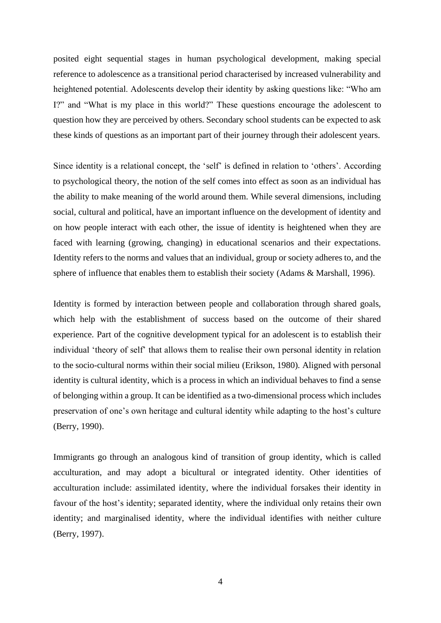posited eight sequential stages in human psychological development, making special reference to adolescence as a transitional period characterised by increased vulnerability and heightened potential. Adolescents develop their identity by asking questions like: "Who am I?" and "What is my place in this world?" These questions encourage the adolescent to question how they are perceived by others. Secondary school students can be expected to ask these kinds of questions as an important part of their journey through their adolescent years.

Since identity is a relational concept, the 'self' is defined in relation to 'others'. According to psychological theory, the notion of the self comes into effect as soon as an individual has the ability to make meaning of the world around them. While several dimensions, including social, cultural and political, have an important influence on the development of identity and on how people interact with each other, the issue of identity is heightened when they are faced with learning (growing, changing) in educational scenarios and their expectations. Identity refers to the norms and values that an individual, group or society adheres to, and the sphere of influence that enables them to establish their society (Adams & Marshall, 1996).

Identity is formed by interaction between people and collaboration through shared goals, which help with the establishment of success based on the outcome of their shared experience. Part of the cognitive development typical for an adolescent is to establish their individual 'theory of self' that allows them to realise their own personal identity in relation to the socio-cultural norms within their social milieu (Erikson, 1980). Aligned with personal identity is cultural identity, which is a process in which an individual behaves to find a sense of belonging within a group. It can be identified as a two-dimensional process which includes preservation of one's own heritage and cultural identity while adapting to the host's culture (Berry, 1990).

Immigrants go through an analogous kind of transition of group identity, which is called acculturation, and may adopt a bicultural or integrated identity. Other identities of acculturation include: assimilated identity, where the individual forsakes their identity in favour of the host's identity; separated identity, where the individual only retains their own identity; and marginalised identity, where the individual identifies with neither culture (Berry, 1997).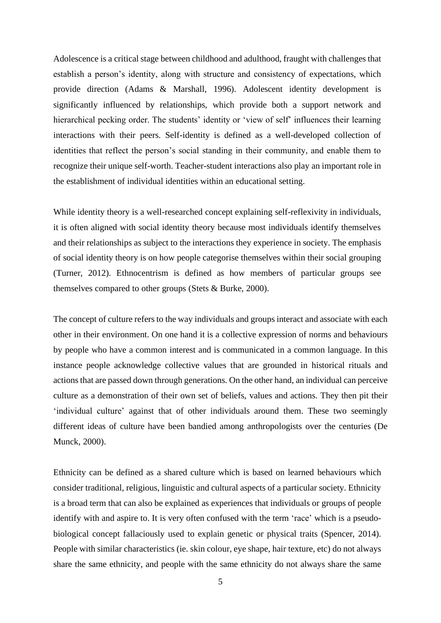Adolescence is a critical stage between childhood and adulthood, fraught with challenges that establish a person's identity, along with structure and consistency of expectations, which provide direction (Adams & Marshall, 1996). Adolescent identity development is significantly influenced by relationships, which provide both a support network and hierarchical pecking order. The students' identity or 'view of self' influences their learning interactions with their peers. Self-identity is defined as a well-developed collection of identities that reflect the person's social standing in their community, and enable them to recognize their unique self-worth. Teacher-student interactions also play an important role in the establishment of individual identities within an educational setting.

While identity theory is a well-researched concept explaining self-reflexivity in individuals, it is often aligned with social identity theory because most individuals identify themselves and their relationships as subject to the interactions they experience in society. The emphasis of social identity theory is on how people categorise themselves within their social grouping (Turner, 2012). Ethnocentrism is defined as how members of particular groups see themselves compared to other groups (Stets & Burke, 2000).

The concept of culture refers to the way individuals and groups interact and associate with each other in their environment. On one hand it is a collective expression of norms and behaviours by people who have a common interest and is communicated in a common language. In this instance people acknowledge collective values that are grounded in historical rituals and actionsthat are passed down through generations. On the other hand, an individual can perceive culture as a demonstration of their own set of beliefs, values and actions. They then pit their 'individual culture' against that of other individuals around them. These two seemingly different ideas of culture have been bandied among anthropologists over the centuries (De Munck, 2000).

Ethnicity can be defined as a shared culture which is based on learned behaviours which consider traditional, religious, linguistic and cultural aspects of a particular society. Ethnicity is a broad term that can also be explained as experiences that individuals or groups of people identify with and aspire to. It is very often confused with the term 'race' which is a pseudobiological concept fallaciously used to explain genetic or physical traits (Spencer, 2014). People with similar characteristics (ie. skin colour, eye shape, hair texture, etc) do not always share the same ethnicity, and people with the same ethnicity do not always share the same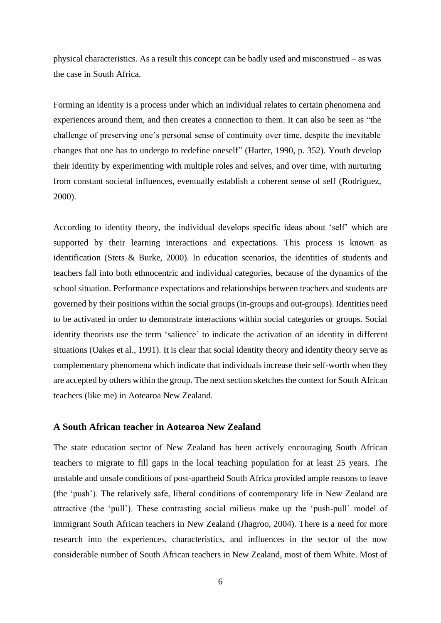physical characteristics. As a result this concept can be badly used and misconstrued – as was the case in South Africa.

Forming an identity is a process under which an individual relates to certain phenomena and experiences around them, and then creates a connection to them. It can also be seen as "the challenge of preserving one's personal sense of continuity over time, despite the inevitable changes that one has to undergo to redefine oneself" (Harter, 1990, p. 352). Youth develop their identity by experimenting with multiple roles and selves, and over time, with nurturing from constant societal influences, eventually establish a coherent sense of self (Rodriguez, 2000).

According to identity theory, the individual develops specific ideas about 'self' which are supported by their learning interactions and expectations. This process is known as identification (Stets & Burke, 2000). In education scenarios, the identities of students and teachers fall into both ethnocentric and individual categories, because of the dynamics of the school situation. Performance expectations and relationships between teachers and students are governed by their positions within the social groups (in-groups and out-groups). Identities need to be activated in order to demonstrate interactions within social categories or groups. Social identity theorists use the term 'salience' to indicate the activation of an identity in different situations (Oakes et al., 1991). It is clear that social identity theory and identity theory serve as complementary phenomena which indicate that individuals increase their self-worth when they are accepted by others within the group. The next section sketches the context for South African teachers (like me) in Aotearoa New Zealand.

#### **A South African teacher in Aotearoa New Zealand**

The state education sector of New Zealand has been actively encouraging South African teachers to migrate to fill gaps in the local teaching population for at least 25 years. The unstable and unsafe conditions of post-apartheid South Africa provided ample reasons to leave (the 'push'). The relatively safe, liberal conditions of contemporary life in New Zealand are attractive (the 'pull'). These contrasting social milieus make up the 'push-pull' model of immigrant South African teachers in New Zealand (Jhagroo, 2004). There is a need for more research into the experiences, characteristics, and influences in the sector of the now considerable number of South African teachers in New Zealand, most of them White. Most of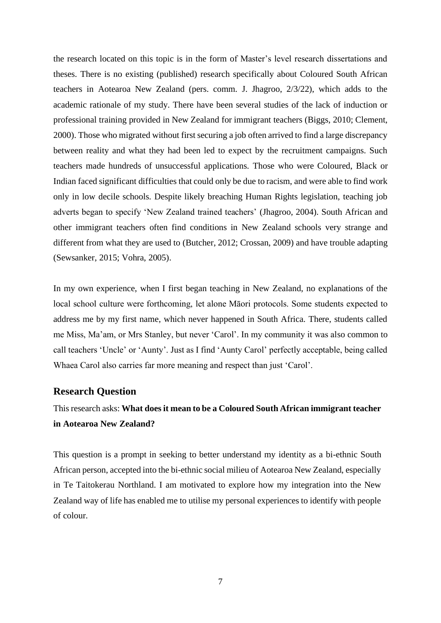the research located on this topic is in the form of Master's level research dissertations and theses. There is no existing (published) research specifically about Coloured South African teachers in Aotearoa New Zealand (pers. comm. J. Jhagroo, 2/3/22), which adds to the academic rationale of my study. There have been several studies of the lack of induction or professional training provided in New Zealand for immigrant teachers (Biggs, 2010; Clement, 2000). Those who migrated without first securing a job often arrived to find a large discrepancy between reality and what they had been led to expect by the recruitment campaigns. Such teachers made hundreds of unsuccessful applications. Those who were Coloured, Black or Indian faced significant difficulties that could only be due to racism, and were able to find work only in low decile schools. Despite likely breaching Human Rights legislation, teaching job adverts began to specify 'New Zealand trained teachers' (Jhagroo, 2004). South African and other immigrant teachers often find conditions in New Zealand schools very strange and different from what they are used to (Butcher, 2012; Crossan, 2009) and have trouble adapting (Sewsanker, 2015; Vohra, 2005).

In my own experience, when I first began teaching in New Zealand, no explanations of the local school culture were forthcoming, let alone Māori protocols. Some students expected to address me by my first name, which never happened in South Africa. There, students called me Miss, Ma'am, or Mrs Stanley, but never 'Carol'. In my community it was also common to call teachers 'Uncle' or 'Aunty'. Just as I find 'Aunty Carol' perfectly acceptable, being called Whaea Carol also carries far more meaning and respect than just 'Carol'.

#### **Research Question**

## This research asks: **What does it mean to be a Coloured South African immigrant teacher in Aotearoa New Zealand?**

This question is a prompt in seeking to better understand my identity as a bi-ethnic South African person, accepted into the bi-ethnic social milieu of Aotearoa New Zealand, especially in Te Taitokerau Northland. I am motivated to explore how my integration into the New Zealand way of life has enabled me to utilise my personal experiences to identify with people of colour.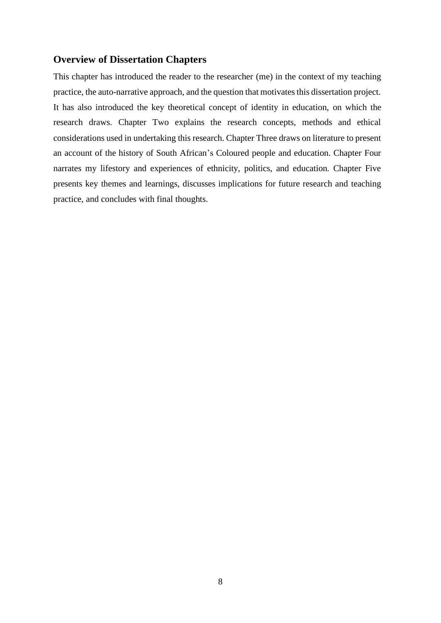### **Overview of Dissertation Chapters**

This chapter has introduced the reader to the researcher (me) in the context of my teaching practice, the auto-narrative approach, and the question that motivates this dissertation project. It has also introduced the key theoretical concept of identity in education, on which the research draws. Chapter Two explains the research concepts, methods and ethical considerations used in undertaking this research. Chapter Three draws on literature to present an account of the history of South African's Coloured people and education. Chapter Four narrates my lifestory and experiences of ethnicity, politics, and education. Chapter Five presents key themes and learnings, discusses implications for future research and teaching practice, and concludes with final thoughts.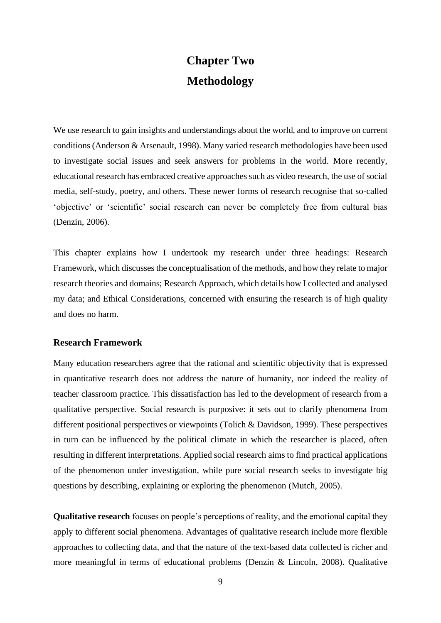## **Chapter Two Methodology**

We use research to gain insights and understandings about the world, and to improve on current conditions (Anderson & Arsenault, 1998). Many varied research methodologies have been used to investigate social issues and seek answers for problems in the world. More recently, educational research has embraced creative approaches such as video research, the use of social media, self-study, poetry, and others. These newer forms of research recognise that so-called 'objective' or 'scientific' social research can never be completely free from cultural bias (Denzin, 2006).

This chapter explains how I undertook my research under three headings: Research Framework, which discusses the conceptualisation of the methods, and how they relate to major research theories and domains; Research Approach, which details how I collected and analysed my data; and Ethical Considerations, concerned with ensuring the research is of high quality and does no harm.

#### **Research Framework**

Many education researchers agree that the rational and scientific objectivity that is expressed in quantitative research does not address the nature of humanity, nor indeed the reality of teacher classroom practice. This dissatisfaction has led to the development of research from a qualitative perspective. Social research is purposive: it sets out to clarify phenomena from different positional perspectives or viewpoints (Tolich & Davidson, 1999). These perspectives in turn can be influenced by the political climate in which the researcher is placed, often resulting in different interpretations. Applied social research aims to find practical applications of the phenomenon under investigation, while pure social research seeks to investigate big questions by describing, explaining or exploring the phenomenon (Mutch, 2005).

**Qualitative research** focuses on people's perceptions of reality, and the emotional capital they apply to different social phenomena. Advantages of qualitative research include more flexible approaches to collecting data, and that the nature of the text-based data collected is richer and more meaningful in terms of educational problems (Denzin & Lincoln, 2008). Qualitative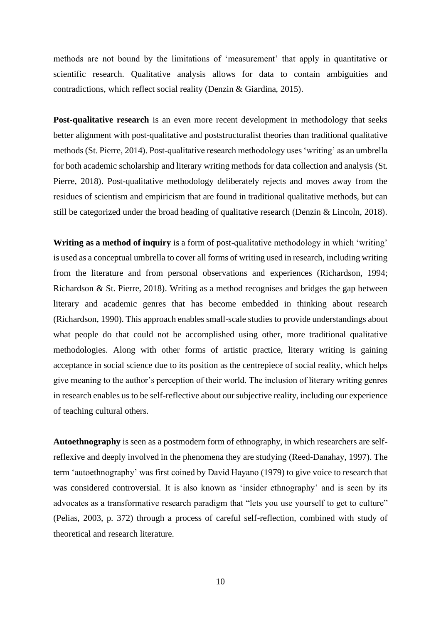methods are not bound by the limitations of 'measurement' that apply in quantitative or scientific research. Qualitative analysis allows for data to contain ambiguities and contradictions, which reflect social reality (Denzin & Giardina, 2015).

**Post-qualitative research** is an even more recent development in methodology that seeks better alignment with post-qualitative and poststructuralist theories than traditional qualitative methods (St. Pierre, 2014). Post-qualitative research methodology uses 'writing' as an umbrella for both academic scholarship and literary writing methods for data collection and analysis (St. Pierre, 2018). Post-qualitative methodology deliberately rejects and moves away from the residues of scientism and empiricism that are found in traditional qualitative methods, but can still be categorized under the broad heading of qualitative research (Denzin & Lincoln, 2018).

**Writing as a method of inquiry** is a form of post-qualitative methodology in which 'writing' is used as a conceptual umbrella to cover all forms of writing used in research, including writing from the literature and from personal observations and experiences (Richardson, 1994; Richardson & St. Pierre, 2018). Writing as a method recognises and bridges the gap between literary and academic genres that has become embedded in thinking about research (Richardson, 1990). This approach enables small-scale studies to provide understandings about what people do that could not be accomplished using other, more traditional qualitative methodologies. Along with other forms of artistic practice, literary writing is gaining acceptance in social science due to its position as the centrepiece of social reality, which helps give meaning to the author's perception of their world. The inclusion of literary writing genres in research enables us to be self-reflective about our subjective reality, including our experience of teaching cultural others.

**Autoethnography** is seen as a postmodern form of ethnography, in which researchers are selfreflexive and deeply involved in the phenomena they are studying (Reed-Danahay, 1997). The term 'autoethnography' was first coined by David Hayano (1979) to give voice to research that was considered controversial. It is also known as 'insider ethnography' and is seen by its advocates as a transformative research paradigm that "lets you use yourself to get to culture" (Pelias, 2003, p. 372) through a process of careful self-reflection, combined with study of theoretical and research literature.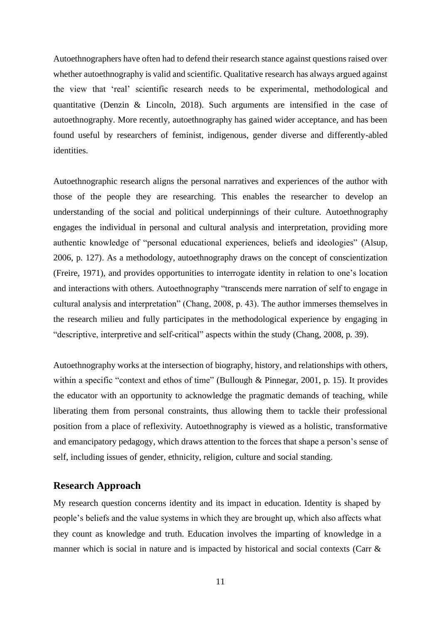Autoethnographers have often had to defend their research stance against questions raised over whether autoethnography is valid and scientific. Qualitative research has always argued against the view that 'real' scientific research needs to be experimental, methodological and quantitative (Denzin & Lincoln, 2018). Such arguments are intensified in the case of autoethnography. More recently, autoethnography has gained wider acceptance, and has been found useful by researchers of feminist, indigenous, gender diverse and differently-abled identities.

Autoethnographic research aligns the personal narratives and experiences of the author with those of the people they are researching. This enables the researcher to develop an understanding of the social and political underpinnings of their culture. Autoethnography engages the individual in personal and cultural analysis and interpretation, providing more authentic knowledge of "personal educational experiences, beliefs and ideologies" (Alsup, 2006, p. 127). As a methodology, autoethnography draws on the concept of conscientization (Freire, 1971), and provides opportunities to interrogate identity in relation to one's location and interactions with others. Autoethnography "transcends mere narration of self to engage in cultural analysis and interpretation" (Chang, 2008, p. 43). The author immerses themselves in the research milieu and fully participates in the methodological experience by engaging in "descriptive, interpretive and self-critical" aspects within the study (Chang, 2008, p. 39).

Autoethnography works at the intersection of biography, history, and relationships with others, within a specific "context and ethos of time" (Bullough & Pinnegar, 2001, p. 15). It provides the educator with an opportunity to acknowledge the pragmatic demands of teaching, while liberating them from personal constraints, thus allowing them to tackle their professional position from a place of reflexivity. Autoethnography is viewed as a holistic, transformative and emancipatory pedagogy, which draws attention to the forces that shape a person's sense of self, including issues of gender, ethnicity, religion, culture and social standing.

#### **Research Approach**

My research question concerns identity and its impact in education. Identity is shaped by people's beliefs and the value systems in which they are brought up, which also affects what they count as knowledge and truth. Education involves the imparting of knowledge in a manner which is social in nature and is impacted by historical and social contexts (Carr &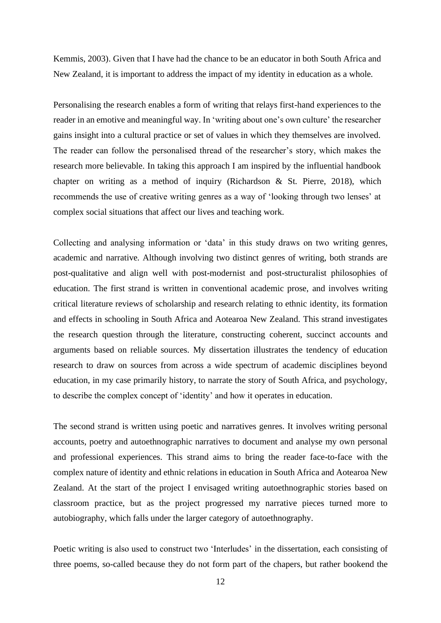Kemmis, 2003). Given that I have had the chance to be an educator in both South Africa and New Zealand, it is important to address the impact of my identity in education as a whole.

Personalising the research enables a form of writing that relays first-hand experiences to the reader in an emotive and meaningful way. In 'writing about one's own culture' the researcher gains insight into a cultural practice or set of values in which they themselves are involved. The reader can follow the personalised thread of the researcher's story, which makes the research more believable. In taking this approach I am inspired by the influential handbook chapter on writing as a method of inquiry (Richardson & St. Pierre, 2018), which recommends the use of creative writing genres as a way of 'looking through two lenses' at complex social situations that affect our lives and teaching work.

Collecting and analysing information or 'data' in this study draws on two writing genres, academic and narrative. Although involving two distinct genres of writing, both strands are post-qualitative and align well with post-modernist and post-structuralist philosophies of education. The first strand is written in conventional academic prose, and involves writing critical literature reviews of scholarship and research relating to ethnic identity, its formation and effects in schooling in South Africa and Aotearoa New Zealand. This strand investigates the research question through the literature, constructing coherent, succinct accounts and arguments based on reliable sources. My dissertation illustrates the tendency of education research to draw on sources from across a wide spectrum of academic disciplines beyond education, in my case primarily history, to narrate the story of South Africa, and psychology, to describe the complex concept of 'identity' and how it operates in education.

The second strand is written using poetic and narratives genres. It involves writing personal accounts, poetry and autoethnographic narratives to document and analyse my own personal and professional experiences. This strand aims to bring the reader face-to-face with the complex nature of identity and ethnic relations in education in South Africa and Aotearoa New Zealand. At the start of the project I envisaged writing autoethnographic stories based on classroom practice, but as the project progressed my narrative pieces turned more to autobiography, which falls under the larger category of autoethnography.

Poetic writing is also used to construct two 'Interludes' in the dissertation, each consisting of three poems, so-called because they do not form part of the chapers, but rather bookend the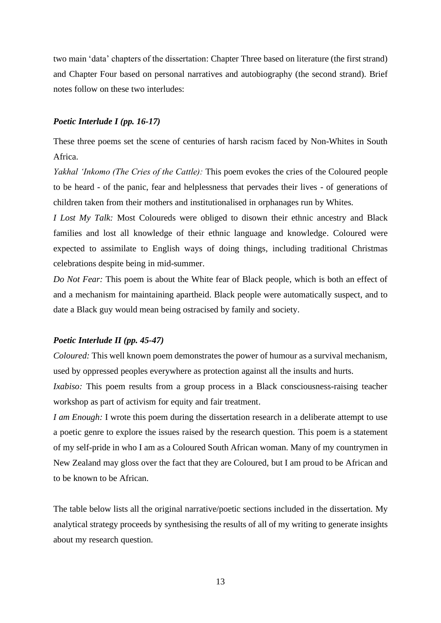two main 'data' chapters of the dissertation: Chapter Three based on literature (the first strand) and Chapter Four based on personal narratives and autobiography (the second strand). Brief notes follow on these two interludes:

#### *Poetic Interlude I (pp. 16-17)*

These three poems set the scene of centuries of harsh racism faced by Non-Whites in South Africa.

*Yakhal 'Inkomo (The Cries of the Cattle):* This poem evokes the cries of the Coloured people to be heard - of the panic, fear and helplessness that pervades their lives - of generations of children taken from their mothers and institutionalised in orphanages run by Whites.

*I Lost My Talk:* Most Coloureds were obliged to disown their ethnic ancestry and Black families and lost all knowledge of their ethnic language and knowledge. Coloured were expected to assimilate to English ways of doing things, including traditional Christmas celebrations despite being in mid-summer.

*Do Not Fear:* This poem is about the White fear of Black people, which is both an effect of and a mechanism for maintaining apartheid. Black people were automatically suspect, and to date a Black guy would mean being ostracised by family and society.

#### *Poetic Interlude II (pp. 45-47)*

*Coloured:* This well known poem demonstrates the power of humour as a survival mechanism, used by oppressed peoples everywhere as protection against all the insults and hurts.

*Ixabiso:* This poem results from a group process in a Black consciousness-raising teacher workshop as part of activism for equity and fair treatment.

*I am Enough:* I wrote this poem during the dissertation research in a deliberate attempt to use a poetic genre to explore the issues raised by the research question. This poem is a statement of my self-pride in who I am as a Coloured South African woman. Many of my countrymen in New Zealand may gloss over the fact that they are Coloured, but I am proud to be African and to be known to be African.

The table below lists all the original narrative/poetic sections included in the dissertation. My analytical strategy proceeds by synthesising the results of all of my writing to generate insights about my research question.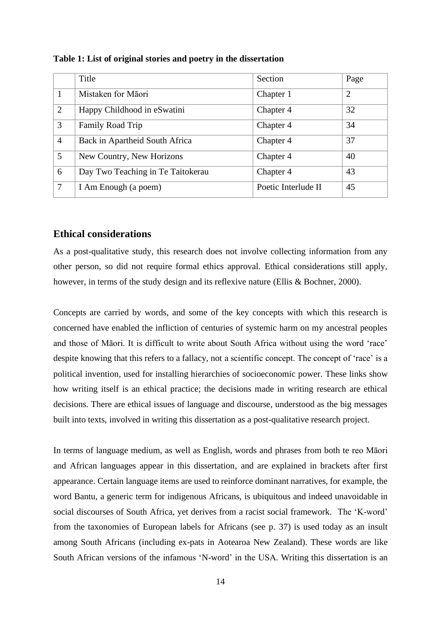|                | Title                             | Section             | Page           |
|----------------|-----------------------------------|---------------------|----------------|
| $\mathbf{1}$   | Mistaken for Māori                | Chapter 1           | $\overline{2}$ |
| 2              | Happy Childhood in eSwatini       | Chapter 4           | 32             |
| 3              | Family Road Trip                  | Chapter 4           | 34             |
| $\overline{4}$ | Back in Apartheid South Africa    | Chapter 4           | 37             |
| 5              | New Country, New Horizons         | Chapter 4           | 40             |
| 6              | Day Two Teaching in Te Taitokerau | Chapter 4           | 43             |
| $\overline{7}$ | I Am Enough (a poem)              | Poetic Interlude II | 45             |

#### **Table 1: List of original stories and poetry in the dissertation**

#### **Ethical considerations**

As a post-qualitative study, this research does not involve collecting information from any other person, so did not require formal ethics approval. Ethical considerations still apply, however, in terms of the study design and its reflexive nature (Ellis & Bochner, 2000).

Concepts are carried by words, and some of the key concepts with which this research is concerned have enabled the infliction of centuries of systemic harm on my ancestral peoples and those of Māori. It is difficult to write about South Africa without using the word 'race' despite knowing that this refers to a fallacy, not a scientific concept. The concept of 'race' is a political invention, used for installing hierarchies of socioeconomic power. These links show how writing itself is an ethical practice; the decisions made in writing research are ethical decisions. There are ethical issues of language and discourse, understood as the big messages built into texts, involved in writing this dissertation as a post-qualitative research project.

In terms of language medium, as well as English, words and phrases from both te reo Māori and African languages appear in this dissertation, and are explained in brackets after first appearance. Certain language items are used to reinforce dominant narratives, for example, the word Bantu, a generic term for indigenous Africans, is ubiquitous and indeed unavoidable in social discourses of South Africa, yet derives from a racist social framework. The 'K-word' from the taxonomies of European labels for Africans (see p. 37) is used today as an insult among South Africans (including ex-pats in Aotearoa New Zealand). These words are like South African versions of the infamous 'N-word' in the USA. Writing this dissertation is an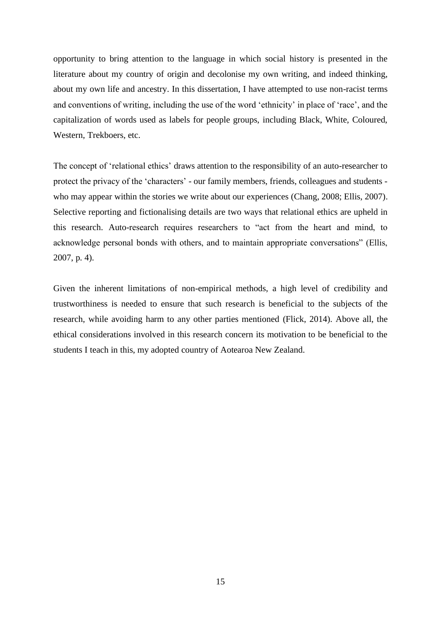opportunity to bring attention to the language in which social history is presented in the literature about my country of origin and decolonise my own writing, and indeed thinking, about my own life and ancestry. In this dissertation, I have attempted to use non-racist terms and conventions of writing, including the use of the word 'ethnicity' in place of 'race', and the capitalization of words used as labels for people groups, including Black, White, Coloured, Western, Trekboers, etc.

The concept of 'relational ethics' draws attention to the responsibility of an auto-researcher to protect the privacy of the 'characters' - our family members, friends, colleagues and students who may appear within the stories we write about our experiences (Chang, 2008; Ellis, 2007). Selective reporting and fictionalising details are two ways that relational ethics are upheld in this research. Auto-research requires researchers to "act from the heart and mind, to acknowledge personal bonds with others, and to maintain appropriate conversations" (Ellis, 2007, p. 4).

Given the inherent limitations of non-empirical methods, a high level of credibility and trustworthiness is needed to ensure that such research is beneficial to the subjects of the research, while avoiding harm to any other parties mentioned (Flick, 2014). Above all, the ethical considerations involved in this research concern its motivation to be beneficial to the students I teach in this, my adopted country of Aotearoa New Zealand.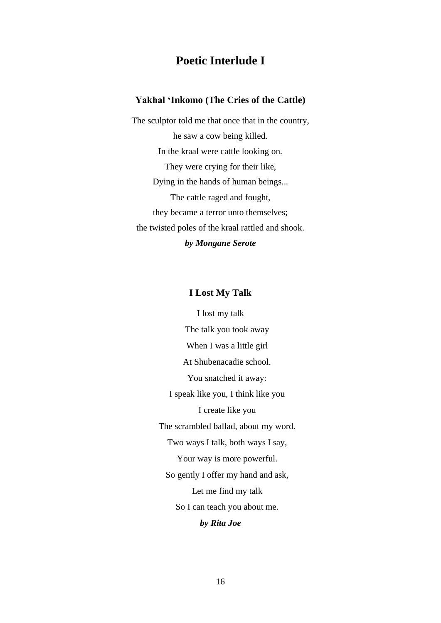## **Poetic Interlude I**

#### **Yakhal 'Inkomo (The Cries of the Cattle)**

The sculptor told me that once that in the country, he saw a cow being killed. In the kraal were cattle looking on. They were crying for their like, Dying in the hands of human beings... The cattle raged and fought, they became a terror unto themselves; the twisted poles of the kraal rattled and shook. *by Mongane Serote*

#### **I Lost My Talk**

I lost my talk The talk you took away When I was a little girl At Shubenacadie school. You snatched it away: I speak like you, I think like you I create like you The scrambled ballad, about my word. Two ways I talk, both ways I say, Your way is more powerful. So gently I offer my hand and ask, Let me find my talk So I can teach you about me. *by Rita Joe*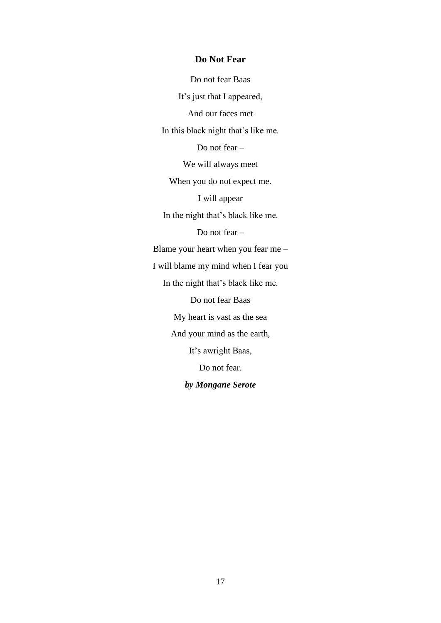#### **Do Not Fear**

Do not fear Baas It's just that I appeared, And our faces met In this black night that's like me. Do not fear – We will always meet When you do not expect me. I will appear In the night that's black like me. Do not fear – Blame your heart when you fear me – I will blame my mind when I fear you In the night that's black like me. Do not fear Baas My heart is vast as the sea And your mind as the earth, It's awright Baas, Do not fear.

*by Mongane Serote*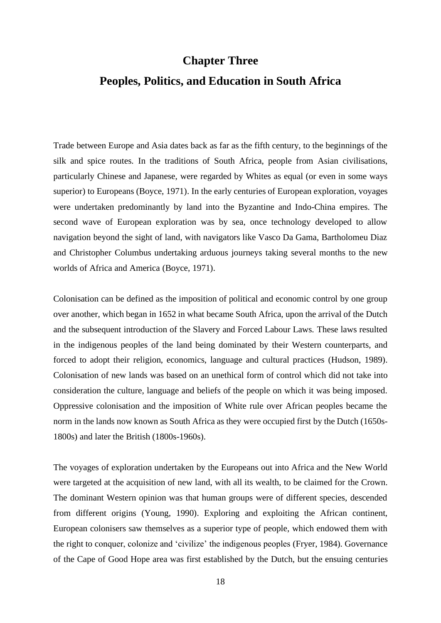### **Chapter Three**

### **Peoples, Politics, and Education in South Africa**

Trade between Europe and Asia dates back as far as the fifth century, to the beginnings of the silk and spice routes. In the traditions of South Africa, people from Asian civilisations, particularly Chinese and Japanese, were regarded by Whites as equal (or even in some ways superior) to Europeans (Boyce, 1971). In the early centuries of European exploration, voyages were undertaken predominantly by land into the Byzantine and Indo-China empires. The second wave of European exploration was by sea, once technology developed to allow navigation beyond the sight of land, with navigators like Vasco Da Gama, Bartholomeu Diaz and Christopher Columbus undertaking arduous journeys taking several months to the new worlds of Africa and America (Boyce, 1971).

Colonisation can be defined as the imposition of political and economic control by one group over another, which began in 1652 in what became South Africa, upon the arrival of the Dutch and the subsequent introduction of the Slavery and Forced Labour Laws. These laws resulted in the indigenous peoples of the land being dominated by their Western counterparts, and forced to adopt their religion, economics, language and cultural practices (Hudson, 1989). Colonisation of new lands was based on an unethical form of control which did not take into consideration the culture, language and beliefs of the people on which it was being imposed. Oppressive colonisation and the imposition of White rule over African peoples became the norm in the lands now known as South Africa as they were occupied first by the Dutch (1650s-1800s) and later the British (1800s-1960s).

The voyages of exploration undertaken by the Europeans out into Africa and the New World were targeted at the acquisition of new land, with all its wealth, to be claimed for the Crown. The dominant Western opinion was that human groups were of different species, descended from different origins (Young, 1990). Exploring and exploiting the African continent, European colonisers saw themselves as a superior type of people, which endowed them with the right to conquer, colonize and 'civilize' the indigenous peoples (Fryer, 1984). Governance of the Cape of Good Hope area was first established by the Dutch, but the ensuing centuries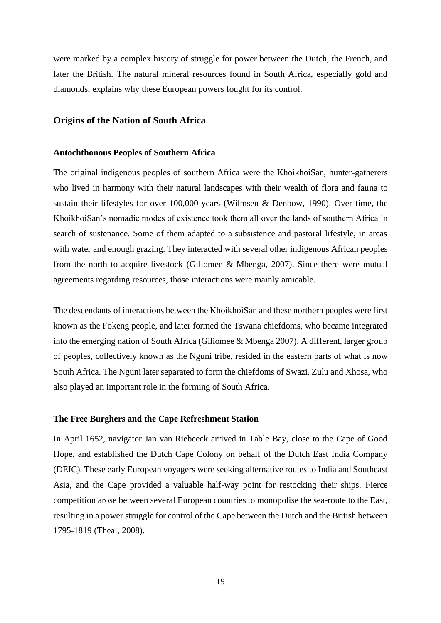were marked by a complex history of struggle for power between the Dutch, the French, and later the British. The natural mineral resources found in South Africa, especially gold and diamonds, explains why these European powers fought for its control.

#### **Origins of the Nation of South Africa**

#### **Autochthonous Peoples of Southern Africa**

The original indigenous peoples of southern Africa were the KhoikhoiSan, hunter-gatherers who lived in harmony with their natural landscapes with their wealth of flora and fauna to sustain their lifestyles for over 100,000 years (Wilmsen & Denbow, 1990). Over time, the KhoikhoiSan's nomadic modes of existence took them all over the lands of southern Africa in search of sustenance. Some of them adapted to a subsistence and pastoral lifestyle, in areas with water and enough grazing. They interacted with several other indigenous African peoples from the north to acquire livestock (Giliomee & Mbenga, 2007). Since there were mutual agreements regarding resources, those interactions were mainly amicable.

The descendants of interactions between the KhoikhoiSan and these northern peoples were first known as the Fokeng people, and later formed the Tswana chiefdoms, who became integrated into the emerging nation of South Africa (Giliomee & Mbenga 2007). A different, larger group of peoples, collectively known as the Nguni tribe, resided in the eastern parts of what is now South Africa. The Nguni later separated to form the chiefdoms of Swazi, Zulu and Xhosa, who also played an important role in the forming of South Africa.

#### **The Free Burghers and the Cape Refreshment Station**

In April 1652, navigator Jan van Riebeeck arrived in Table Bay, close to the Cape of Good Hope, and established the Dutch Cape Colony on behalf of the Dutch East India Company (DEIC). These early European voyagers were seeking alternative routes to India and Southeast Asia, and the Cape provided a valuable half-way point for restocking their ships. Fierce competition arose between several European countries to monopolise the sea-route to the East, resulting in a power struggle for control of the Cape between the Dutch and the British between 1795-1819 (Theal, 2008).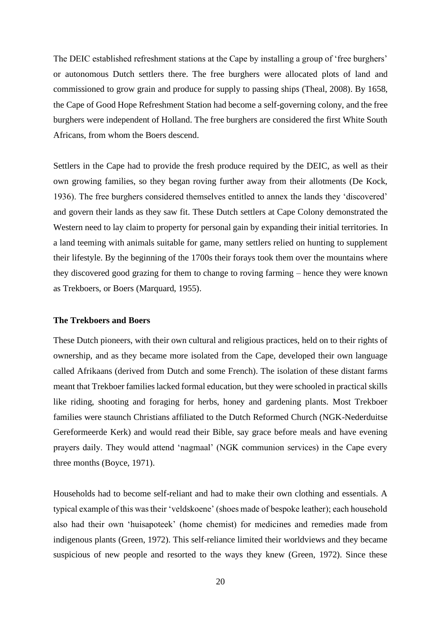The DEIC established refreshment stations at the Cape by installing a group of 'free burghers' or autonomous Dutch settlers there. The free burghers were allocated plots of land and commissioned to grow grain and produce for supply to passing ships (Theal, 2008). By 1658, the Cape of Good Hope Refreshment Station had become a self-governing colony, and the free burghers were independent of Holland. The free burghers are considered the first White South Africans, from whom the Boers descend.

Settlers in the Cape had to provide the fresh produce required by the DEIC, as well as their own growing families, so they began roving further away from their allotments (De Kock, 1936). The free burghers considered themselves entitled to annex the lands they 'discovered' and govern their lands as they saw fit. These Dutch settlers at Cape Colony demonstrated the Western need to lay claim to property for personal gain by expanding their initial territories. In a land teeming with animals suitable for game, many settlers relied on hunting to supplement their lifestyle. By the beginning of the 1700s their forays took them over the mountains where they discovered good grazing for them to change to roving farming – hence they were known as Trekboers, or Boers (Marquard, 1955).

#### **The Trekboers and Boers**

These Dutch pioneers, with their own cultural and religious practices, held on to their rights of ownership, and as they became more isolated from the Cape, developed their own language called Afrikaans (derived from Dutch and some French). The isolation of these distant farms meant that Trekboer families lacked formal education, but they were schooled in practical skills like riding, shooting and foraging for herbs, honey and gardening plants. Most Trekboer families were staunch Christians affiliated to the Dutch Reformed Church (NGK-Nederduitse Gereformeerde Kerk) and would read their Bible, say grace before meals and have evening prayers daily. They would attend 'nagmaal' (NGK communion services) in the Cape every three months (Boyce, 1971).

Households had to become self-reliant and had to make their own clothing and essentials. A typical example of this was their 'veldskoene' (shoes made of bespoke leather); each household also had their own 'huisapoteek' (home chemist) for medicines and remedies made from indigenous plants (Green, 1972). This self-reliance limited their worldviews and they became suspicious of new people and resorted to the ways they knew (Green, 1972). Since these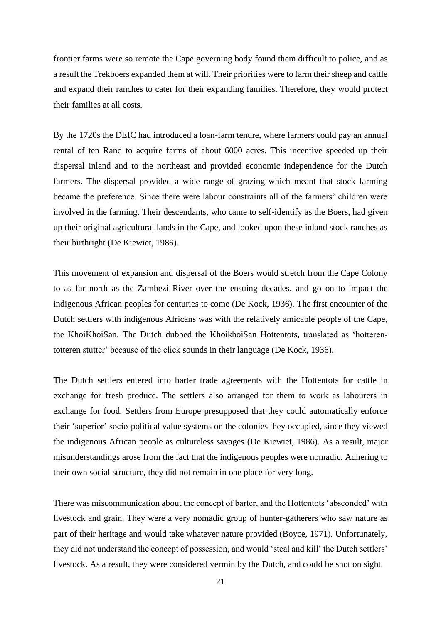frontier farms were so remote the Cape governing body found them difficult to police, and as a result the Trekboers expanded them at will. Their priorities were to farm their sheep and cattle and expand their ranches to cater for their expanding families. Therefore, they would protect their families at all costs.

By the 1720s the DEIC had introduced a loan-farm tenure, where farmers could pay an annual rental of ten Rand to acquire farms of about 6000 acres. This incentive speeded up their dispersal inland and to the northeast and provided economic independence for the Dutch farmers. The dispersal provided a wide range of grazing which meant that stock farming became the preference. Since there were labour constraints all of the farmers' children were involved in the farming. Their descendants, who came to self-identify as the Boers, had given up their original agricultural lands in the Cape, and looked upon these inland stock ranches as their birthright (De Kiewiet, 1986).

This movement of expansion and dispersal of the Boers would stretch from the Cape Colony to as far north as the Zambezi River over the ensuing decades, and go on to impact the indigenous African peoples for centuries to come (De Kock, 1936). The first encounter of the Dutch settlers with indigenous Africans was with the relatively amicable people of the Cape, the KhoiKhoiSan. The Dutch dubbed the KhoikhoiSan Hottentots, translated as 'hotterentotteren stutter' because of the click sounds in their language (De Kock, 1936).

The Dutch settlers entered into barter trade agreements with the Hottentots for cattle in exchange for fresh produce. The settlers also arranged for them to work as labourers in exchange for food. Settlers from Europe presupposed that they could automatically enforce their 'superior' socio-political value systems on the colonies they occupied, since they viewed the indigenous African people as cultureless savages (De Kiewiet, 1986). As a result, major misunderstandings arose from the fact that the indigenous peoples were nomadic. Adhering to their own social structure, they did not remain in one place for very long.

There was miscommunication about the concept of barter, and the Hottentots 'absconded' with livestock and grain. They were a very nomadic group of hunter-gatherers who saw nature as part of their heritage and would take whatever nature provided (Boyce, 1971). Unfortunately, they did not understand the concept of possession, and would 'steal and kill' the Dutch settlers' livestock. As a result, they were considered vermin by the Dutch, and could be shot on sight.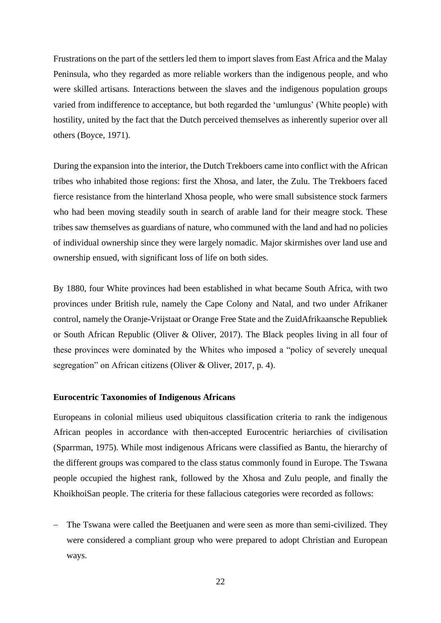Frustrations on the part of the settlers led them to import slaves from East Africa and the Malay Peninsula, who they regarded as more reliable workers than the indigenous people, and who were skilled artisans. Interactions between the slaves and the indigenous population groups varied from indifference to acceptance, but both regarded the 'umlungus' (White people) with hostility, united by the fact that the Dutch perceived themselves as inherently superior over all others (Boyce, 1971).

During the expansion into the interior, the Dutch Trekboers came into conflict with the African tribes who inhabited those regions: first the Xhosa, and later, the Zulu. The Trekboers faced fierce resistance from the hinterland Xhosa people, who were small subsistence stock farmers who had been moving steadily south in search of arable land for their meagre stock. These tribes saw themselves as guardians of nature, who communed with the land and had no policies of individual ownership since they were largely nomadic. Major skirmishes over land use and ownership ensued, with significant loss of life on both sides.

By 1880, four White provinces had been established in what became South Africa, with two provinces under British rule, namely the Cape Colony and Natal, and two under Afrikaner control, namely the Oranje-Vrijstaat or Orange Free State and the ZuidAfrikaansche Republiek or South African Republic (Oliver & Oliver, 2017). The Black peoples living in all four of these provinces were dominated by the Whites who imposed a "policy of severely unequal segregation" on African citizens (Oliver & Oliver, 2017, p. 4).

#### **Eurocentric Taxonomies of Indigenous Africans**

Europeans in colonial milieus used ubiquitous classification criteria to rank the indigenous African peoples in accordance with then-accepted Eurocentric heriarchies of civilisation (Sparrman, 1975). While most indigenous Africans were classified as Bantu, the hierarchy of the different groups was compared to the class status commonly found in Europe. The Tswana people occupied the highest rank, followed by the Xhosa and Zulu people, and finally the KhoikhoiSan people. The criteria for these fallacious categories were recorded as follows:

− The Tswana were called the Beetjuanen and were seen as more than semi-civilized. They were considered a compliant group who were prepared to adopt Christian and European ways.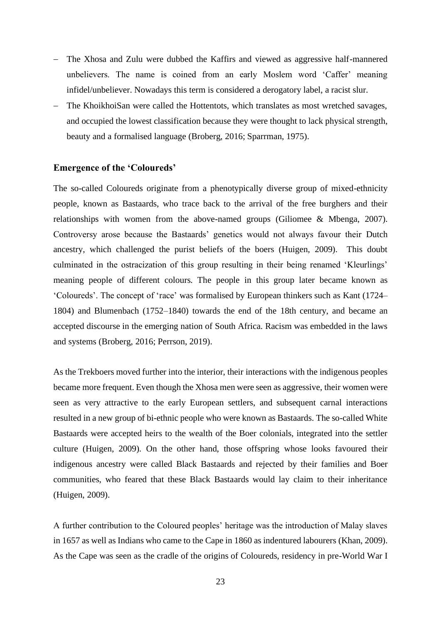- − The Xhosa and Zulu were dubbed the Kaffirs and viewed as aggressive half-mannered unbelievers. The name is coined from an early Moslem word 'Caffer' meaning infidel/unbeliever. Nowadays this term is considered a derogatory label, a racist slur.
- The KhoikhoiSan were called the Hottentots, which translates as most wretched savages, and occupied the lowest classification because they were thought to lack physical strength, beauty and a formalised language (Broberg, 2016; Sparrman, 1975).

#### **Emergence of the 'Coloureds'**

The so-called Coloureds originate from a phenotypically diverse group of mixed-ethnicity people, known as Bastaards, who trace back to the arrival of the free burghers and their relationships with women from the above-named groups (Giliomee & Mbenga, 2007). Controversy arose because the Bastaards' genetics would not always favour their Dutch ancestry, which challenged the purist beliefs of the boers (Huigen, 2009). This doubt culminated in the ostracization of this group resulting in their being renamed 'Kleurlings' meaning people of different colours. The people in this group later became known as 'Coloureds'. The concept of 'race' was formalised by European thinkers such as Kant (1724– 1804) and Blumenbach (1752–1840) towards the end of the 18th century, and became an accepted discourse in the emerging nation of South Africa. Racism was embedded in the laws and systems (Broberg, 2016; Perrson, 2019).

As the Trekboers moved further into the interior, their interactions with the indigenous peoples became more frequent. Even though the Xhosa men were seen as aggressive, their women were seen as very attractive to the early European settlers, and subsequent carnal interactions resulted in a new group of bi-ethnic people who were known as Bastaards. The so-called White Bastaards were accepted heirs to the wealth of the Boer colonials, integrated into the settler culture (Huigen, 2009). On the other hand, those offspring whose looks favoured their indigenous ancestry were called Black Bastaards and rejected by their families and Boer communities, who feared that these Black Bastaards would lay claim to their inheritance (Huigen, 2009).

A further contribution to the Coloured peoples' heritage was the introduction of Malay slaves in 1657 as well as Indians who came to the Cape in 1860 as indentured labourers (Khan, 2009). As the Cape was seen as the cradle of the origins of Coloureds, residency in pre-World War I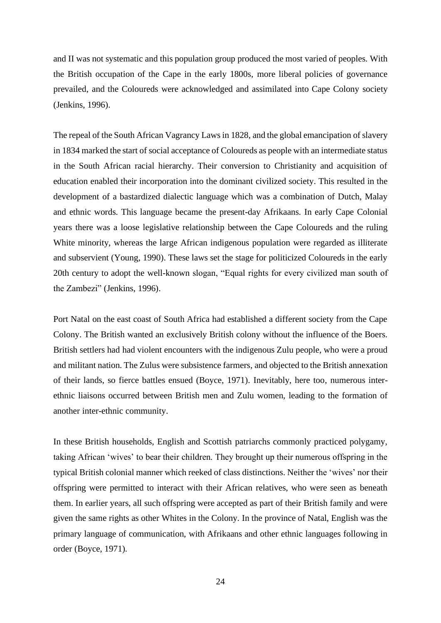and II was not systematic and this population group produced the most varied of peoples. With the British occupation of the Cape in the early 1800s, more liberal policies of governance prevailed, and the Coloureds were acknowledged and assimilated into Cape Colony society (Jenkins, 1996).

The repeal of the South African Vagrancy Laws in 1828, and the global emancipation of slavery in 1834 marked the start of social acceptance of Coloureds as people with an intermediate status in the South African racial hierarchy. Their conversion to Christianity and acquisition of education enabled their incorporation into the dominant civilized society. This resulted in the development of a bastardized dialectic language which was a combination of Dutch, Malay and ethnic words. This language became the present-day Afrikaans. In early Cape Colonial years there was a loose legislative relationship between the Cape Coloureds and the ruling White minority, whereas the large African indigenous population were regarded as illiterate and subservient (Young, 1990). These laws set the stage for politicized Coloureds in the early 20th century to adopt the well-known slogan, "Equal rights for every civilized man south of the Zambezi" (Jenkins, 1996).

Port Natal on the east coast of South Africa had established a different society from the Cape Colony. The British wanted an exclusively British colony without the influence of the Boers. British settlers had had violent encounters with the indigenous Zulu people, who were a proud and militant nation. The Zulus were subsistence farmers, and objected to the British annexation of their lands, so fierce battles ensued (Boyce, 1971). Inevitably, here too, numerous interethnic liaisons occurred between British men and Zulu women, leading to the formation of another inter-ethnic community.

In these British households, English and Scottish patriarchs commonly practiced polygamy, taking African 'wives' to bear their children. They brought up their numerous offspring in the typical British colonial manner which reeked of class distinctions. Neither the 'wives' nor their offspring were permitted to interact with their African relatives, who were seen as beneath them. In earlier years, all such offspring were accepted as part of their British family and were given the same rights as other Whites in the Colony. In the province of Natal, English was the primary language of communication, with Afrikaans and other ethnic languages following in order (Boyce, 1971).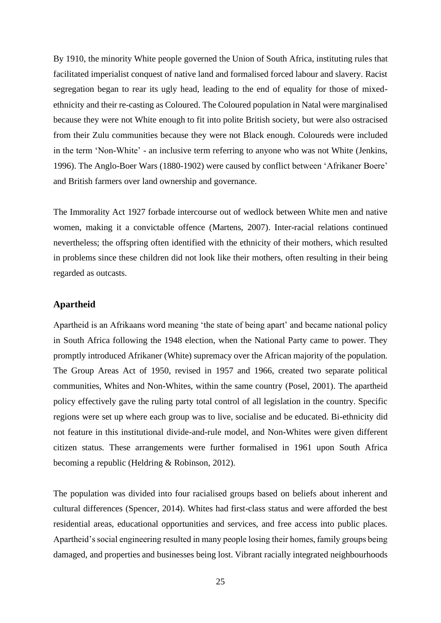By 1910, the minority White people governed the Union of South Africa, instituting rules that facilitated imperialist conquest of native land and formalised forced labour and slavery. Racist segregation began to rear its ugly head, leading to the end of equality for those of mixedethnicity and their re-casting as Coloured. The Coloured population in Natal were marginalised because they were not White enough to fit into polite British society, but were also ostracised from their Zulu communities because they were not Black enough. Coloureds were included in the term 'Non-White' - an inclusive term referring to anyone who was not White (Jenkins, 1996). The Anglo-Boer Wars (1880-1902) were caused by conflict between 'Afrikaner Boere' and British farmers over land ownership and governance.

The Immorality Act 1927 forbade intercourse out of wedlock between White men and native women, making it a convictable offence (Martens, 2007). Inter-racial relations continued nevertheless; the offspring often identified with the ethnicity of their mothers, which resulted in problems since these children did not look like their mothers, often resulting in their being regarded as outcasts.

#### **Apartheid**

Apartheid is an Afrikaans word meaning 'the state of being apart' and became national policy in South Africa following the 1948 election, when the National Party came to power. They promptly introduced Afrikaner (White) supremacy over the African majority of the population. The Group Areas Act of 1950, revised in 1957 and 1966, created two separate political communities, Whites and Non-Whites, within the same country (Posel, 2001). The apartheid policy effectively gave the ruling party total control of all legislation in the country. Specific regions were set up where each group was to live, socialise and be educated. Bi-ethnicity did not feature in this institutional divide-and-rule model, and Non-Whites were given different citizen status. These arrangements were further formalised in 1961 upon South Africa becoming a republic (Heldring & Robinson, 2012).

The population was divided into four racialised groups based on beliefs about inherent and cultural differences (Spencer, 2014). Whites had first-class status and were afforded the best residential areas, educational opportunities and services, and free access into public places. Apartheid's social engineering resulted in many people losing their homes, family groups being damaged, and properties and businesses being lost. Vibrant racially integrated neighbourhoods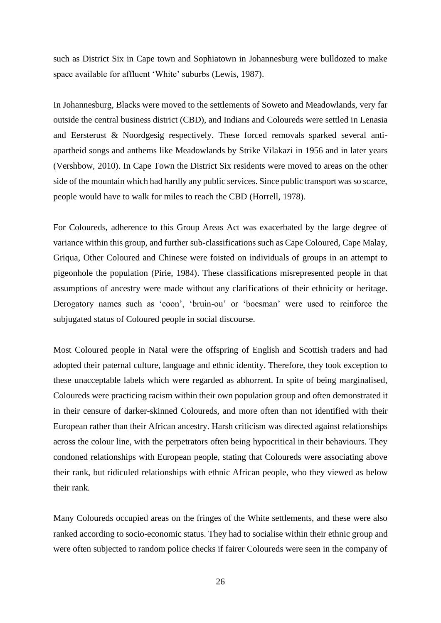such as District Six in Cape town and Sophiatown in Johannesburg were bulldozed to make space available for affluent 'White' suburbs (Lewis, 1987).

In Johannesburg, Blacks were moved to the settlements of Soweto and Meadowlands, very far outside the central business district (CBD), and Indians and Coloureds were settled in Lenasia and Eersterust & Noordgesig respectively. These forced removals sparked several antiapartheid songs and anthems like Meadowlands by Strike Vilakazi in 1956 and in later years (Vershbow, 2010). In Cape Town the District Six residents were moved to areas on the other side of the mountain which had hardly any public services. Since public transport was so scarce, people would have to walk for miles to reach the CBD (Horrell, 1978).

For Coloureds, adherence to this Group Areas Act was exacerbated by the large degree of variance within this group, and further sub-classifications such as Cape Coloured, Cape Malay, Griqua, Other Coloured and Chinese were foisted on individuals of groups in an attempt to pigeonhole the population (Pirie, 1984). These classifications misrepresented people in that assumptions of ancestry were made without any clarifications of their ethnicity or heritage. Derogatory names such as 'coon', 'bruin-ou' or 'boesman' were used to reinforce the subjugated status of Coloured people in social discourse.

Most Coloured people in Natal were the offspring of English and Scottish traders and had adopted their paternal culture, language and ethnic identity. Therefore, they took exception to these unacceptable labels which were regarded as abhorrent. In spite of being marginalised, Coloureds were practicing racism within their own population group and often demonstrated it in their censure of darker-skinned Coloureds, and more often than not identified with their European rather than their African ancestry. Harsh criticism was directed against relationships across the colour line, with the perpetrators often being hypocritical in their behaviours. They condoned relationships with European people, stating that Coloureds were associating above their rank, but ridiculed relationships with ethnic African people, who they viewed as below their rank.

Many Coloureds occupied areas on the fringes of the White settlements, and these were also ranked according to socio-economic status. They had to socialise within their ethnic group and were often subjected to random police checks if fairer Coloureds were seen in the company of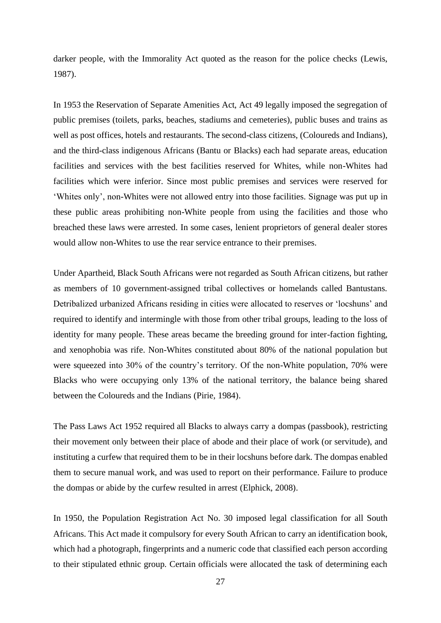darker people, with the Immorality Act quoted as the reason for the police checks (Lewis, 1987).

In 1953 the Reservation of Separate Amenities Act, Act 49 legally imposed the segregation of public premises (toilets, parks, beaches, stadiums and cemeteries), public buses and trains as well as post offices, hotels and restaurants. The second-class citizens, (Coloureds and Indians), and the third-class indigenous Africans (Bantu or Blacks) each had separate areas, education facilities and services with the best facilities reserved for Whites, while non-Whites had facilities which were inferior. Since most public premises and services were reserved for 'Whites only', non-Whites were not allowed entry into those facilities. Signage was put up in these public areas prohibiting non-White people from using the facilities and those who breached these laws were arrested. In some cases, lenient proprietors of general dealer stores would allow non-Whites to use the rear service entrance to their premises.

Under Apartheid, Black South Africans were not regarded as South African citizens, but rather as members of 10 government-assigned tribal collectives or homelands called Bantustans. Detribalized urbanized Africans residing in cities were allocated to reserves or 'locshuns' and required to identify and intermingle with those from other tribal groups, leading to the loss of identity for many people. These areas became the breeding ground for inter-faction fighting, and xenophobia was rife. Non-Whites constituted about 80% of the national population but were squeezed into 30% of the country's territory. Of the non-White population, 70% were Blacks who were occupying only 13% of the national territory, the balance being shared between the Coloureds and the Indians (Pirie, 1984).

The Pass Laws Act 1952 required all Blacks to always carry a dompas (passbook), restricting their movement only between their place of abode and their place of work (or servitude), and instituting a curfew that required them to be in their locshuns before dark. The dompas enabled them to secure manual work, and was used to report on their performance. Failure to produce the dompas or abide by the curfew resulted in arrest (Elphick, 2008).

In 1950, the Population Registration Act No. 30 imposed legal classification for all South Africans. This Act made it compulsory for every South African to carry an identification book, which had a photograph, fingerprints and a numeric code that classified each person according to their stipulated ethnic group. Certain officials were allocated the task of determining each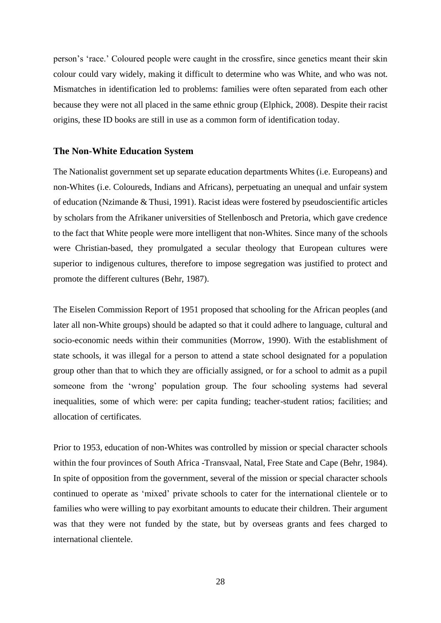person's 'race.' Coloured people were caught in the crossfire, since genetics meant their skin colour could vary widely, making it difficult to determine who was White, and who was not. Mismatches in identification led to problems: families were often separated from each other because they were not all placed in the same ethnic group (Elphick, 2008). Despite their racist origins, these ID books are still in use as a common form of identification today.

#### **The Non-White Education System**

The Nationalist government set up separate education departments Whites (i.e. Europeans) and non-Whites (i.e. Coloureds, Indians and Africans), perpetuating an unequal and unfair system of education (Nzimande & Thusi, 1991). Racist ideas were fostered by pseudoscientific articles by scholars from the Afrikaner universities of Stellenbosch and Pretoria, which gave credence to the fact that White people were more intelligent that non-Whites. Since many of the schools were Christian-based, they promulgated a secular theology that European cultures were superior to indigenous cultures, therefore to impose segregation was justified to protect and promote the different cultures (Behr, 1987).

The Eiselen Commission Report of 1951 proposed that schooling for the African peoples (and later all non-White groups) should be adapted so that it could adhere to language, cultural and socio-economic needs within their communities (Morrow, 1990). With the establishment of state schools, it was illegal for a person to attend a state school designated for a population group other than that to which they are officially assigned, or for a school to admit as a pupil someone from the 'wrong' population group. The four schooling systems had several inequalities, some of which were: per capita funding; teacher-student ratios; facilities; and allocation of certificates.

Prior to 1953, education of non-Whites was controlled by mission or special character schools within the four provinces of South Africa -Transvaal, Natal, Free State and Cape (Behr, 1984). In spite of opposition from the government, several of the mission or special character schools continued to operate as 'mixed' private schools to cater for the international clientele or to families who were willing to pay exorbitant amounts to educate their children. Their argument was that they were not funded by the state, but by overseas grants and fees charged to international clientele.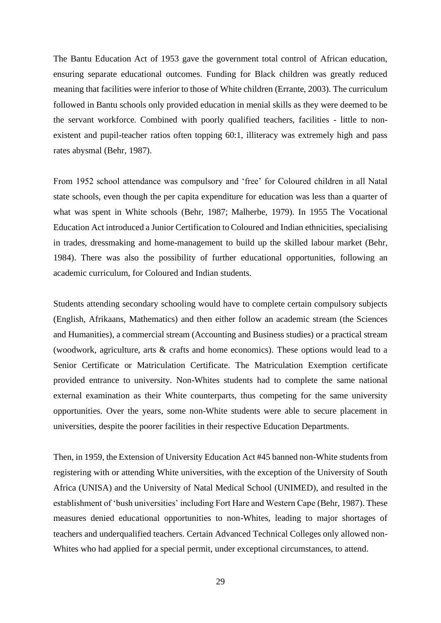The Bantu Education Act of 1953 gave the government total control of African education, ensuring separate educational outcomes. Funding for Black children was greatly reduced meaning that facilities were inferior to those of White children (Errante, 2003). The curriculum followed in Bantu schools only provided education in menial skills as they were deemed to be the servant workforce. Combined with poorly qualified teachers, facilities - little to nonexistent and pupil-teacher ratios often topping 60:1, illiteracy was extremely high and pass rates abysmal (Behr, 1987).

From 1952 school attendance was compulsory and 'free' for Coloured children in all Natal state schools, even though the per capita expenditure for education was less than a quarter of what was spent in White schools (Behr, 1987; Malherbe, 1979). In 1955 The Vocational Education Act introduced a Junior Certification to Coloured and Indian ethnicities, specialising in trades, dressmaking and home-management to build up the skilled labour market (Behr, 1984). There was also the possibility of further educational opportunities, following an academic curriculum, for Coloured and Indian students.

Students attending secondary schooling would have to complete certain compulsory subjects (English, Afrikaans, Mathematics) and then either follow an academic stream (the Sciences and Humanities), a commercial stream (Accounting and Business studies) or a practical stream (woodwork, agriculture, arts & crafts and home economics). These options would lead to a Senior Certificate or Matriculation Certificate. The Matriculation Exemption certificate provided entrance to university. Non-Whites students had to complete the same national external examination as their White counterparts, thus competing for the same university opportunities. Over the years, some non-White students were able to secure placement in universities, despite the poorer facilities in their respective Education Departments.

Then, in 1959, the Extension of University Education Act #45 banned non-White students from registering with or attending White universities, with the exception of the University of South Africa (UNISA) and the University of Natal Medical School (UNIMED), and resulted in the establishment of 'bush universities' including Fort Hare and Western Cape (Behr, 1987). These measures denied educational opportunities to non-Whites, leading to major shortages of teachers and underqualified teachers. Certain Advanced Technical Colleges only allowed non-Whites who had applied for a special permit, under exceptional circumstances, to attend.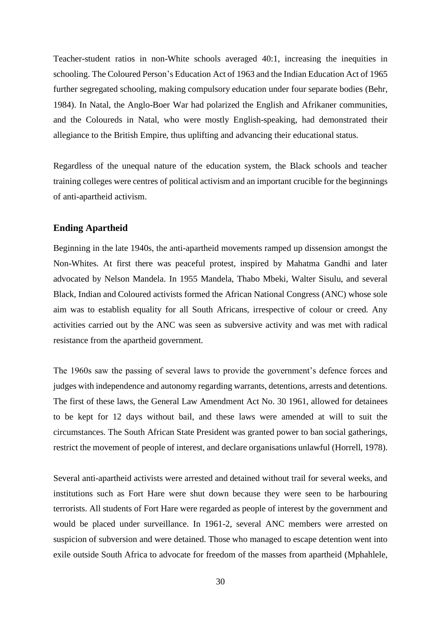Teacher-student ratios in non-White schools averaged 40:1, increasing the inequities in schooling. The Coloured Person's Education Act of 1963 and the Indian Education Act of 1965 further segregated schooling, making compulsory education under four separate bodies (Behr, 1984). In Natal, the Anglo-Boer War had polarized the English and Afrikaner communities, and the Coloureds in Natal, who were mostly English-speaking, had demonstrated their allegiance to the British Empire, thus uplifting and advancing their educational status.

Regardless of the unequal nature of the education system, the Black schools and teacher training colleges were centres of political activism and an important crucible for the beginnings of anti-apartheid activism.

#### **Ending Apartheid**

Beginning in the late 1940s, the anti-apartheid movements ramped up dissension amongst the Non-Whites. At first there was peaceful protest, inspired by Mahatma Gandhi and later advocated by Nelson Mandela. In 1955 Mandela, Thabo Mbeki, Walter Sisulu, and several Black, Indian and Coloured activists formed the African National Congress (ANC) whose sole aim was to establish equality for all South Africans, irrespective of colour or creed. Any activities carried out by the ANC was seen as subversive activity and was met with radical resistance from the apartheid government.

The 1960s saw the passing of several laws to provide the government's defence forces and judges with independence and autonomy regarding warrants, detentions, arrests and detentions. The first of these laws, the General Law Amendment Act No. 30 1961, allowed for detainees to be kept for 12 days without bail, and these laws were amended at will to suit the circumstances. The South African State President was granted power to ban social gatherings, restrict the movement of people of interest, and declare organisations unlawful (Horrell, 1978).

Several anti-apartheid activists were arrested and detained without trail for several weeks, and institutions such as Fort Hare were shut down because they were seen to be harbouring terrorists. All students of Fort Hare were regarded as people of interest by the government and would be placed under surveillance. In 1961-2, several ANC members were arrested on suspicion of subversion and were detained. Those who managed to escape detention went into exile outside South Africa to advocate for freedom of the masses from apartheid (Mphahlele,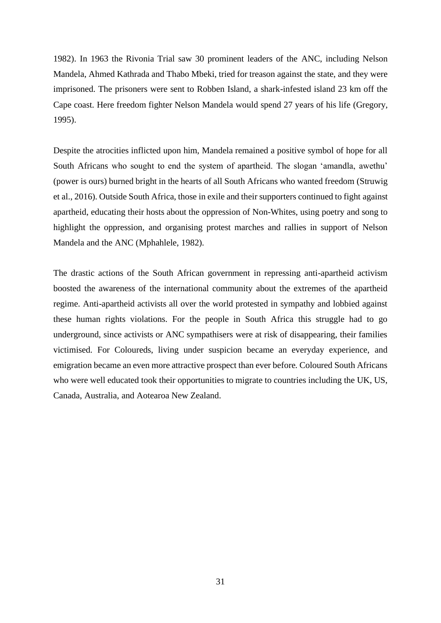1982). In 1963 the Rivonia Trial saw 30 prominent leaders of the ANC, including Nelson Mandela, Ahmed Kathrada and Thabo Mbeki, tried for treason against the state, and they were imprisoned. The prisoners were sent to Robben Island, a shark-infested island 23 km off the Cape coast. Here freedom fighter Nelson Mandela would spend 27 years of his life (Gregory, 1995).

Despite the atrocities inflicted upon him, Mandela remained a positive symbol of hope for all South Africans who sought to end the system of apartheid. The slogan 'amandla, awethu' (power is ours) burned bright in the hearts of all South Africans who wanted freedom (Struwig et al., 2016). Outside South Africa, those in exile and their supporters continued to fight against apartheid, educating their hosts about the oppression of Non-Whites, using poetry and song to highlight the oppression, and organising protest marches and rallies in support of Nelson Mandela and the ANC (Mphahlele, 1982).

The drastic actions of the South African government in repressing anti-apartheid activism boosted the awareness of the international community about the extremes of the apartheid regime. Anti-apartheid activists all over the world protested in sympathy and lobbied against these human rights violations. For the people in South Africa this struggle had to go underground, since activists or ANC sympathisers were at risk of disappearing, their families victimised. For Coloureds, living under suspicion became an everyday experience, and emigration became an even more attractive prospect than ever before. Coloured South Africans who were well educated took their opportunities to migrate to countries including the UK, US, Canada, Australia, and Aotearoa New Zealand.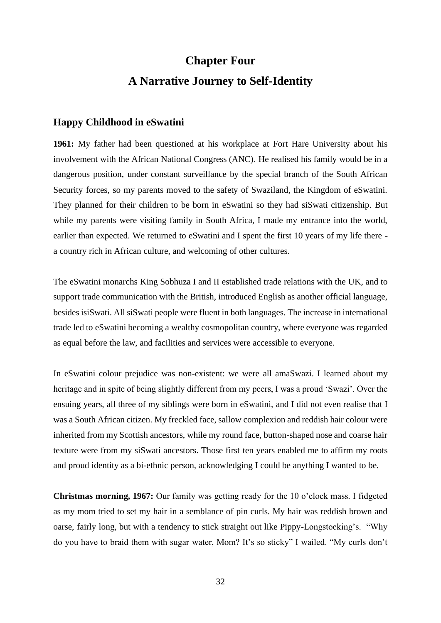## **Chapter Four A Narrative Journey to Self-Identity**

#### **Happy Childhood in eSwatini**

**1961:** My father had been questioned at his workplace at Fort Hare University about his involvement with the African National Congress (ANC). He realised his family would be in a dangerous position, under constant surveillance by the special branch of the South African Security forces, so my parents moved to the safety of Swaziland, the Kingdom of eSwatini. They planned for their children to be born in eSwatini so they had siSwati citizenship. But while my parents were visiting family in South Africa, I made my entrance into the world, earlier than expected. We returned to eSwatini and I spent the first 10 years of my life there a country rich in African culture, and welcoming of other cultures.

The eSwatini monarchs King Sobhuza I and II established trade relations with the UK, and to support trade communication with the British, introduced English as another official language, besides isiSwati. All siSwati people were fluent in both languages. The increase in international trade led to eSwatini becoming a wealthy cosmopolitan country, where everyone was regarded as equal before the law, and facilities and services were accessible to everyone.

In eSwatini colour prejudice was non-existent: we were all amaSwazi. I learned about my heritage and in spite of being slightly different from my peers, I was a proud 'Swazi'. Over the ensuing years, all three of my siblings were born in eSwatini, and I did not even realise that I was a South African citizen. My freckled face, sallow complexion and reddish hair colour were inherited from my Scottish ancestors, while my round face, button-shaped nose and coarse hair texture were from my siSwati ancestors. Those first ten years enabled me to affirm my roots and proud identity as a bi-ethnic person, acknowledging I could be anything I wanted to be.

**Christmas morning, 1967:** Our family was getting ready for the 10 o'clock mass. I fidgeted as my mom tried to set my hair in a semblance of pin curls. My hair was reddish brown and oarse, fairly long, but with a tendency to stick straight out like Pippy-Longstocking's. "Why do you have to braid them with sugar water, Mom? It's so sticky" I wailed. "My curls don't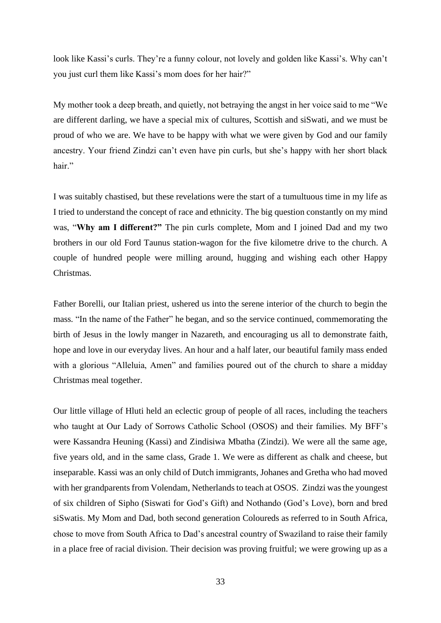look like Kassi's curls. They're a funny colour, not lovely and golden like Kassi's. Why can't you just curl them like Kassi's mom does for her hair?"

My mother took a deep breath, and quietly, not betraying the angst in her voice said to me "We are different darling, we have a special mix of cultures, Scottish and siSwati, and we must be proud of who we are. We have to be happy with what we were given by God and our family ancestry. Your friend Zindzi can't even have pin curls, but she's happy with her short black hair."

I was suitably chastised, but these revelations were the start of a tumultuous time in my life as I tried to understand the concept of race and ethnicity. The big question constantly on my mind was, "**Why am I different?"** The pin curls complete, Mom and I joined Dad and my two brothers in our old Ford Taunus station-wagon for the five kilometre drive to the church. A couple of hundred people were milling around, hugging and wishing each other Happy Christmas.

Father Borelli, our Italian priest, ushered us into the serene interior of the church to begin the mass. "In the name of the Father" he began, and so the service continued, commemorating the birth of Jesus in the lowly manger in Nazareth, and encouraging us all to demonstrate faith, hope and love in our everyday lives. An hour and a half later, our beautiful family mass ended with a glorious "Alleluia, Amen" and families poured out of the church to share a midday Christmas meal together.

Our little village of Hluti held an eclectic group of people of all races, including the teachers who taught at Our Lady of Sorrows Catholic School (OSOS) and their families. My BFF's were Kassandra Heuning (Kassi) and Zindisiwa Mbatha (Zindzi). We were all the same age, five years old, and in the same class, Grade 1. We were as different as chalk and cheese, but inseparable. Kassi was an only child of Dutch immigrants, Johanes and Gretha who had moved with her grandparents from Volendam, Netherlands to teach at OSOS. Zindzi was the youngest of six children of Sipho (Siswati for God's Gift) and Nothando (God's Love), born and bred siSwatis. My Mom and Dad, both second generation Coloureds as referred to in South Africa, chose to move from South Africa to Dad's ancestral country of Swaziland to raise their family in a place free of racial division. Their decision was proving fruitful; we were growing up as a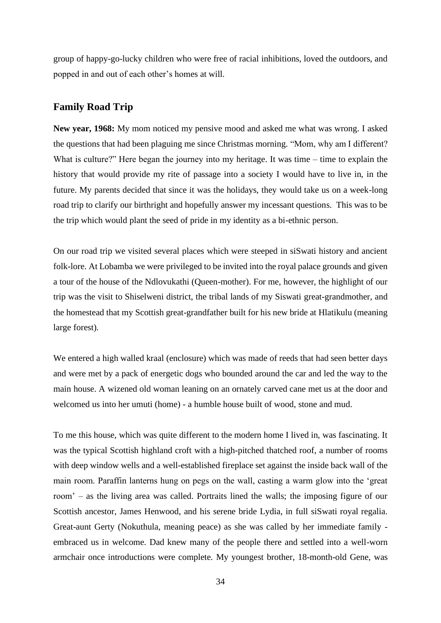group of happy-go-lucky children who were free of racial inhibitions, loved the outdoors, and popped in and out of each other's homes at will.

#### **Family Road Trip**

**New year, 1968:** My mom noticed my pensive mood and asked me what was wrong. I asked the questions that had been plaguing me since Christmas morning. "Mom, why am I different? What is culture?" Here began the journey into my heritage. It was time – time to explain the history that would provide my rite of passage into a society I would have to live in, in the future. My parents decided that since it was the holidays, they would take us on a week-long road trip to clarify our birthright and hopefully answer my incessant questions. This was to be the trip which would plant the seed of pride in my identity as a bi-ethnic person.

On our road trip we visited several places which were steeped in siSwati history and ancient folk-lore. At Lobamba we were privileged to be invited into the royal palace grounds and given a tour of the house of the Ndlovukathi (Queen-mother). For me, however, the highlight of our trip was the visit to Shiselweni district, the tribal lands of my Siswati great-grandmother, and the homestead that my Scottish great-grandfather built for his new bride at Hlatikulu (meaning large forest).

We entered a high walled kraal (enclosure) which was made of reeds that had seen better days and were met by a pack of energetic dogs who bounded around the car and led the way to the main house. A wizened old woman leaning on an ornately carved cane met us at the door and welcomed us into her umuti (home) - a humble house built of wood, stone and mud.

To me this house, which was quite different to the modern home I lived in, was fascinating. It was the typical Scottish highland croft with a high-pitched thatched roof, a number of rooms with deep window wells and a well-established fireplace set against the inside back wall of the main room. Paraffin lanterns hung on pegs on the wall, casting a warm glow into the 'great room' – as the living area was called. Portraits lined the walls; the imposing figure of our Scottish ancestor, James Henwood, and his serene bride Lydia, in full siSwati royal regalia. Great-aunt Gerty (Nokuthula, meaning peace) as she was called by her immediate family  embraced us in welcome. Dad knew many of the people there and settled into a well-worn armchair once introductions were complete. My youngest brother, 18-month-old Gene, was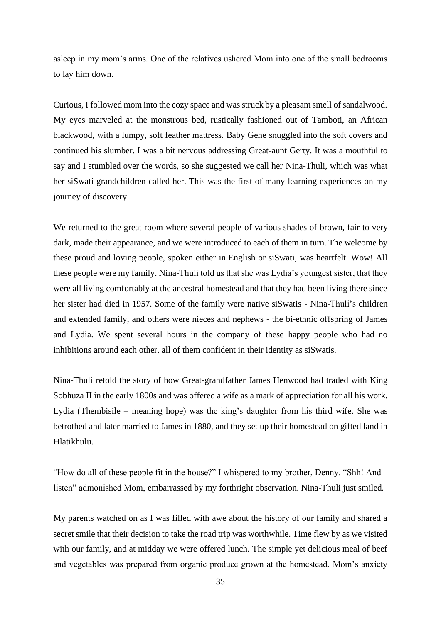asleep in my mom's arms. One of the relatives ushered Mom into one of the small bedrooms to lay him down.

Curious, I followed mom into the cozy space and was struck by a pleasant smell of sandalwood. My eyes marveled at the monstrous bed, rustically fashioned out of Tamboti, an African blackwood, with a lumpy, soft feather mattress. Baby Gene snuggled into the soft covers and continued his slumber. I was a bit nervous addressing Great-aunt Gerty. It was a mouthful to say and I stumbled over the words, so she suggested we call her Nina-Thuli, which was what her siSwati grandchildren called her. This was the first of many learning experiences on my journey of discovery.

We returned to the great room where several people of various shades of brown, fair to very dark, made their appearance, and we were introduced to each of them in turn. The welcome by these proud and loving people, spoken either in English or siSwati, was heartfelt. Wow! All these people were my family. Nina-Thuli told us that she was Lydia's youngest sister, that they were all living comfortably at the ancestral homestead and that they had been living there since her sister had died in 1957. Some of the family were native siSwatis - Nina-Thuli's children and extended family, and others were nieces and nephews - the bi-ethnic offspring of James and Lydia. We spent several hours in the company of these happy people who had no inhibitions around each other, all of them confident in their identity as siSwatis.

Nina-Thuli retold the story of how Great-grandfather James Henwood had traded with King Sobhuza II in the early 1800s and was offered a wife as a mark of appreciation for all his work. Lydia (Thembisile – meaning hope) was the king's daughter from his third wife. She was betrothed and later married to James in 1880, and they set up their homestead on gifted land in Hlatikhulu.

"How do all of these people fit in the house?" I whispered to my brother, Denny. "Shh! And listen" admonished Mom, embarrassed by my forthright observation. Nina-Thuli just smiled.

My parents watched on as I was filled with awe about the history of our family and shared a secret smile that their decision to take the road trip was worthwhile. Time flew by as we visited with our family, and at midday we were offered lunch. The simple yet delicious meal of beef and vegetables was prepared from organic produce grown at the homestead. Mom's anxiety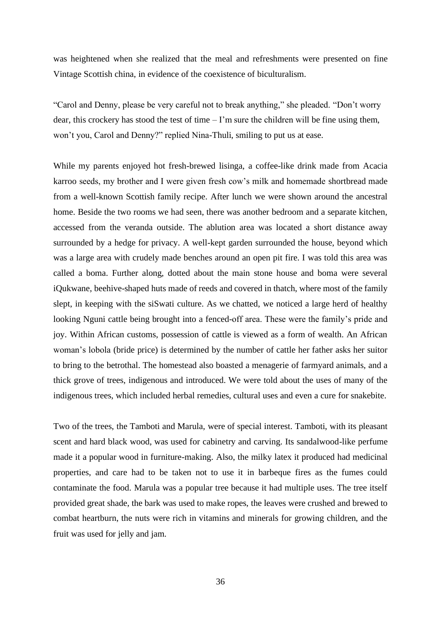was heightened when she realized that the meal and refreshments were presented on fine Vintage Scottish china, in evidence of the coexistence of biculturalism.

"Carol and Denny, please be very careful not to break anything," she pleaded. "Don't worry dear, this crockery has stood the test of time – I'm sure the children will be fine using them, won't you, Carol and Denny?" replied Nina-Thuli, smiling to put us at ease.

While my parents enjoyed hot fresh-brewed lisinga, a coffee-like drink made from Acacia karroo seeds, my brother and I were given fresh cow's milk and homemade shortbread made from a well-known Scottish family recipe. After lunch we were shown around the ancestral home. Beside the two rooms we had seen, there was another bedroom and a separate kitchen, accessed from the veranda outside. The ablution area was located a short distance away surrounded by a hedge for privacy. A well-kept garden surrounded the house, beyond which was a large area with crudely made benches around an open pit fire. I was told this area was called a boma. Further along, dotted about the main stone house and boma were several iQukwane, beehive-shaped huts made of reeds and covered in thatch, where most of the family slept, in keeping with the siSwati culture. As we chatted, we noticed a large herd of healthy looking Nguni cattle being brought into a fenced-off area. These were the family's pride and joy. Within African customs, possession of cattle is viewed as a form of wealth. An African woman's lobola (bride price) is determined by the number of cattle her father asks her suitor to bring to the betrothal. The homestead also boasted a menagerie of farmyard animals, and a thick grove of trees, indigenous and introduced. We were told about the uses of many of the indigenous trees, which included herbal remedies, cultural uses and even a cure for snakebite.

Two of the trees, the Tamboti and Marula, were of special interest. Tamboti, with its pleasant scent and hard black wood, was used for cabinetry and carving. Its sandalwood-like perfume made it a popular wood in furniture-making. Also, the milky latex it produced had medicinal properties, and care had to be taken not to use it in barbeque fires as the fumes could contaminate the food. Marula was a popular tree because it had multiple uses. The tree itself provided great shade, the bark was used to make ropes, the leaves were crushed and brewed to combat heartburn, the nuts were rich in vitamins and minerals for growing children, and the fruit was used for jelly and jam.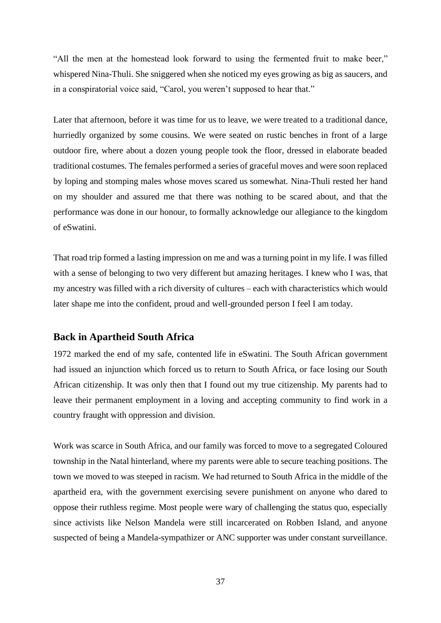"All the men at the homestead look forward to using the fermented fruit to make beer," whispered Nina-Thuli. She sniggered when she noticed my eyes growing as big as saucers, and in a conspiratorial voice said, "Carol, you weren't supposed to hear that."

Later that afternoon, before it was time for us to leave, we were treated to a traditional dance, hurriedly organized by some cousins. We were seated on rustic benches in front of a large outdoor fire, where about a dozen young people took the floor, dressed in elaborate beaded traditional costumes. The females performed a series of graceful moves and were soon replaced by loping and stomping males whose moves scared us somewhat. Nina-Thuli rested her hand on my shoulder and assured me that there was nothing to be scared about, and that the performance was done in our honour, to formally acknowledge our allegiance to the kingdom of eSwatini.

That road trip formed a lasting impression on me and was a turning point in my life. I was filled with a sense of belonging to two very different but amazing heritages. I knew who I was, that my ancestry was filled with a rich diversity of cultures – each with characteristics which would later shape me into the confident, proud and well-grounded person I feel I am today.

#### **Back in Apartheid South Africa**

1972 marked the end of my safe, contented life in eSwatini. The South African government had issued an injunction which forced us to return to South Africa, or face losing our South African citizenship. It was only then that I found out my true citizenship. My parents had to leave their permanent employment in a loving and accepting community to find work in a country fraught with oppression and division.

Work was scarce in South Africa, and our family was forced to move to a segregated Coloured township in the Natal hinterland, where my parents were able to secure teaching positions. The town we moved to was steeped in racism. We had returned to South Africa in the middle of the apartheid era, with the government exercising severe punishment on anyone who dared to oppose their ruthless regime. Most people were wary of challenging the status quo, especially since activists like Nelson Mandela were still incarcerated on Robben Island, and anyone suspected of being a Mandela-sympathizer or ANC supporter was under constant surveillance.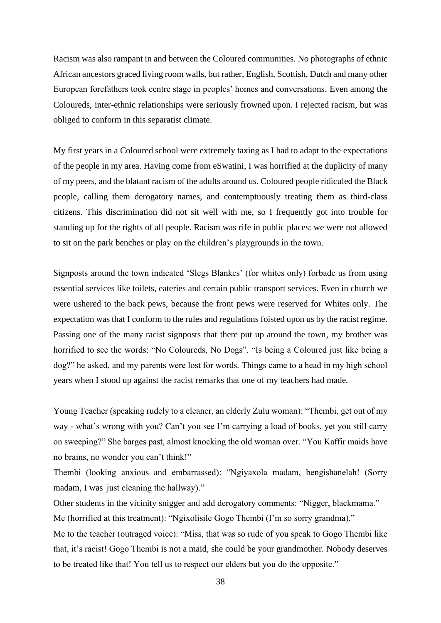Racism was also rampant in and between the Coloured communities. No photographs of ethnic African ancestors graced living room walls, but rather, English, Scottish, Dutch and many other European forefathers took centre stage in peoples' homes and conversations. Even among the Coloureds, inter-ethnic relationships were seriously frowned upon. I rejected racism, but was obliged to conform in this separatist climate.

My first years in a Coloured school were extremely taxing as I had to adapt to the expectations of the people in my area. Having come from eSwatini, I was horrified at the duplicity of many of my peers, and the blatant racism of the adults around us. Coloured people ridiculed the Black people, calling them derogatory names, and contemptuously treating them as third-class citizens. This discrimination did not sit well with me, so I frequently got into trouble for standing up for the rights of all people. Racism was rife in public places: we were not allowed to sit on the park benches or play on the children's playgrounds in the town.

Signposts around the town indicated 'Slegs Blankes' (for whites only) forbade us from using essential services like toilets, eateries and certain public transport services. Even in church we were ushered to the back pews, because the front pews were reserved for Whites only. The expectation was that I conform to the rules and regulations foisted upon us by the racist regime. Passing one of the many racist signposts that there put up around the town, my brother was horrified to see the words: "No Coloureds, No Dogs". "Is being a Coloured just like being a dog?" he asked, and my parents were lost for words. Things came to a head in my high school years when I stood up against the racist remarks that one of my teachers had made.

Young Teacher (speaking rudely to a cleaner, an elderly Zulu woman): "Thembi, get out of my way - what's wrong with you? Can't you see I'm carrying a load of books, yet you still carry on sweeping?" She barges past, almost knocking the old woman over. "You Kaffir maids have no brains, no wonder you can't think!"

Thembi (looking anxious and embarrassed): "Ngiyaxola madam, bengishanelah! (Sorry madam, I was just cleaning the hallway)."

Other students in the vicinity snigger and add derogatory comments: "Nigger, blackmama." Me (horrified at this treatment): "Ngixolisile Gogo Thembi (I'm so sorry grandma)."

Me to the teacher (outraged voice): "Miss, that was so rude of you speak to Gogo Thembi like that, it's racist! Gogo Thembi is not a maid, she could be your grandmother. Nobody deserves to be treated like that! You tell us to respect our elders but you do the opposite."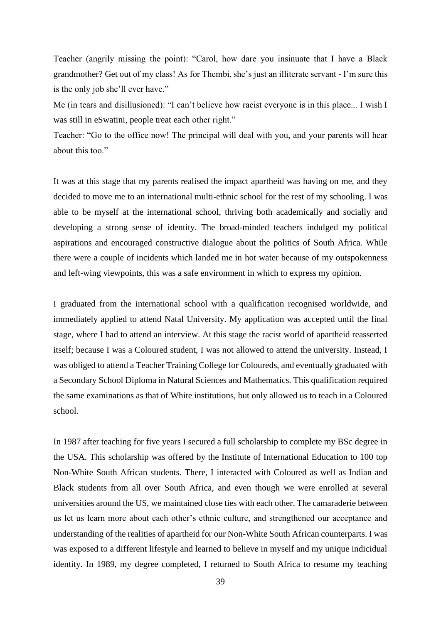Teacher (angrily missing the point): "Carol, how dare you insinuate that I have a Black grandmother? Get out of my class! As for Thembi, she's just an illiterate servant - I'm sure this is the only job she'll ever have."

Me (in tears and disillusioned): "I can't believe how racist everyone is in this place... I wish I was still in eSwatini, people treat each other right."

Teacher: "Go to the office now! The principal will deal with you, and your parents will hear about this too."

It was at this stage that my parents realised the impact apartheid was having on me, and they decided to move me to an international multi-ethnic school for the rest of my schooling. I was able to be myself at the international school, thriving both academically and socially and developing a strong sense of identity. The broad-minded teachers indulged my political aspirations and encouraged constructive dialogue about the politics of South Africa. While there were a couple of incidents which landed me in hot water because of my outspokenness and left-wing viewpoints, this was a safe environment in which to express my opinion.

I graduated from the international school with a qualification recognised worldwide, and immediately applied to attend Natal University. My application was accepted until the final stage, where I had to attend an interview. At this stage the racist world of apartheid reasserted itself; because I was a Coloured student, I was not allowed to attend the university. Instead, I was obliged to attend a Teacher Training College for Coloureds, and eventually graduated with a Secondary School Diploma in Natural Sciences and Mathematics. This qualification required the same examinations as that of White institutions, but only allowed us to teach in a Coloured school.

In 1987 after teaching for five years I secured a full scholarship to complete my BSc degree in the USA. This scholarship was offered by the Institute of International Education to 100 top Non-White South African students. There, I interacted with Coloured as well as Indian and Black students from all over South Africa, and even though we were enrolled at several universities around the US, we maintained close ties with each other. The camaraderie between us let us learn more about each other's ethnic culture, and strengthened our acceptance and understanding of the realities of apartheid for our Non-White South African counterparts. I was was exposed to a different lifestyle and learned to believe in myself and my unique indicidual identity. In 1989, my degree completed, I returned to South Africa to resume my teaching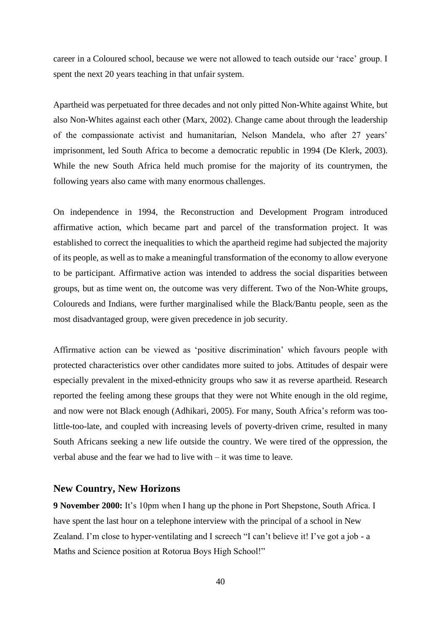career in a Coloured school, because we were not allowed to teach outside our 'race' group. I spent the next 20 years teaching in that unfair system.

Apartheid was perpetuated for three decades and not only pitted Non-White against White, but also Non-Whites against each other (Marx, 2002). Change came about through the leadership of the compassionate activist and humanitarian, Nelson Mandela, who after 27 years' imprisonment, led South Africa to become a democratic republic in 1994 (De Klerk, 2003). While the new South Africa held much promise for the majority of its countrymen, the following years also came with many enormous challenges.

On independence in 1994, the Reconstruction and Development Program introduced affirmative action, which became part and parcel of the transformation project. It was established to correct the inequalities to which the apartheid regime had subjected the majority of its people, as well as to make a meaningful transformation of the economy to allow everyone to be participant. Affirmative action was intended to address the social disparities between groups, but as time went on, the outcome was very different. Two of the Non-White groups, Coloureds and Indians, were further marginalised while the Black/Bantu people, seen as the most disadvantaged group, were given precedence in job security.

Affirmative action can be viewed as 'positive discrimination' which favours people with protected characteristics over other candidates more suited to jobs. Attitudes of despair were especially prevalent in the mixed-ethnicity groups who saw it as reverse apartheid. Research reported the feeling among these groups that they were not White enough in the old regime, and now were not Black enough (Adhikari, 2005). For many, South Africa's reform was toolittle-too-late, and coupled with increasing levels of poverty-driven crime, resulted in many South Africans seeking a new life outside the country. We were tired of the oppression, the verbal abuse and the fear we had to live with – it was time to leave.

#### **New Country, New Horizons**

**9 November 2000:** It's 10pm when I hang up the phone in Port Shepstone, South Africa. I have spent the last hour on a telephone interview with the principal of a school in New Zealand. I'm close to hyper-ventilating and I screech "I can't believe it! I've got a job - a Maths and Science position at Rotorua Boys High School!"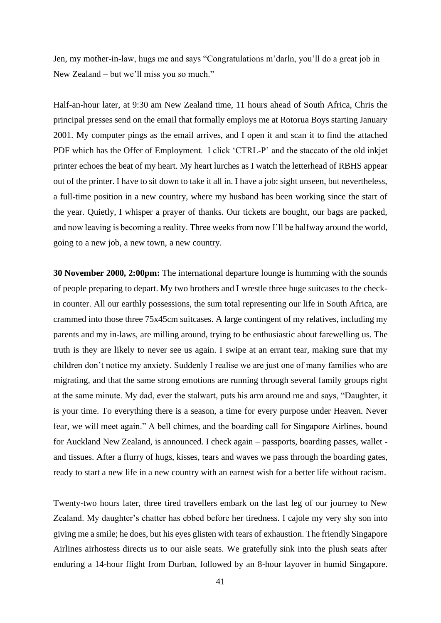Jen, my mother-in-law, hugs me and says "Congratulations m'darln, you'll do a great job in New Zealand – but we'll miss you so much."

Half-an-hour later, at 9:30 am New Zealand time, 11 hours ahead of South Africa, Chris the principal presses send on the email that formally employs me at Rotorua Boys starting January 2001. My computer pings as the email arrives, and I open it and scan it to find the attached PDF which has the Offer of Employment. I click 'CTRL-P' and the staccato of the old inkjet printer echoes the beat of my heart. My heart lurches as I watch the letterhead of RBHS appear out of the printer. I have to sit down to take it all in. I have a job: sight unseen, but nevertheless, a full-time position in a new country, where my husband has been working since the start of the year. Quietly, I whisper a prayer of thanks. Our tickets are bought, our bags are packed, and now leaving is becoming a reality. Three weeks from now I'll be halfway around the world, going to a new job, a new town, a new country.

**30 November 2000, 2:00pm:** The international departure lounge is humming with the sounds of people preparing to depart. My two brothers and I wrestle three huge suitcases to the checkin counter. All our earthly possessions, the sum total representing our life in South Africa, are crammed into those three 75x45cm suitcases. A large contingent of my relatives, including my parents and my in-laws, are milling around, trying to be enthusiastic about farewelling us. The truth is they are likely to never see us again. I swipe at an errant tear, making sure that my children don't notice my anxiety. Suddenly I realise we are just one of many families who are migrating, and that the same strong emotions are running through several family groups right at the same minute. My dad, ever the stalwart, puts his arm around me and says, "Daughter, it is your time. To everything there is a season, a time for every purpose under Heaven. Never fear, we will meet again." A bell chimes, and the boarding call for Singapore Airlines, bound for Auckland New Zealand, is announced. I check again – passports, boarding passes, wallet and tissues. After a flurry of hugs, kisses, tears and waves we pass through the boarding gates, ready to start a new life in a new country with an earnest wish for a better life without racism.

Twenty-two hours later, three tired travellers embark on the last leg of our journey to New Zealand. My daughter's chatter has ebbed before her tiredness. I cajole my very shy son into giving me a smile; he does, but his eyes glisten with tears of exhaustion. The friendly Singapore Airlines airhostess directs us to our aisle seats. We gratefully sink into the plush seats after enduring a 14-hour flight from Durban, followed by an 8-hour layover in humid Singapore.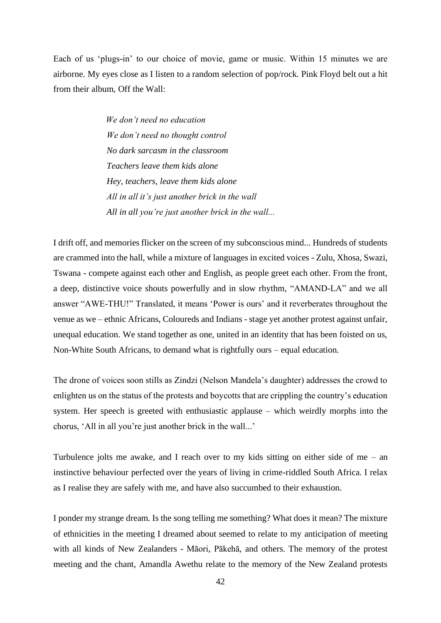Each of us 'plugs-in' to our choice of movie, game or music. Within 15 minutes we are airborne. My eyes close as I listen to a random selection of pop/rock. Pink Floyd belt out a hit from their album, Off the Wall:

> *We don't need no education We don't need no thought control No dark sarcasm in the classroom Teachers leave them kids alone Hey, teachers, leave them kids alone All in all it's just another brick in the wall All in all you're just another brick in the wall...*

I drift off, and memories flicker on the screen of my subconscious mind... Hundreds of students are crammed into the hall, while a mixture of languages in excited voices - Zulu, Xhosa, Swazi, Tswana - compete against each other and English, as people greet each other. From the front, a deep, distinctive voice shouts powerfully and in slow rhythm, "AMAND-LA" and we all answer "AWE-THU!" Translated, it means 'Power is ours' and it reverberates throughout the venue as we – ethnic Africans, Coloureds and Indians - stage yet another protest against unfair, unequal education. We stand together as one, united in an identity that has been foisted on us, Non-White South Africans, to demand what is rightfully ours – equal education.

The drone of voices soon stills as Zindzi (Nelson Mandela's daughter) addresses the crowd to enlighten us on the status of the protests and boycotts that are crippling the country's education system. Her speech is greeted with enthusiastic applause – which weirdly morphs into the chorus, 'All in all you're just another brick in the wall...'

Turbulence jolts me awake, and I reach over to my kids sitting on either side of me – an instinctive behaviour perfected over the years of living in crime-riddled South Africa. I relax as I realise they are safely with me, and have also succumbed to their exhaustion.

I ponder my strange dream. Is the song telling me something? What does it mean? The mixture of ethnicities in the meeting I dreamed about seemed to relate to my anticipation of meeting with all kinds of New Zealanders - Māori, Pākehā, and others. The memory of the protest meeting and the chant, Amandla Awethu relate to the memory of the New Zealand protests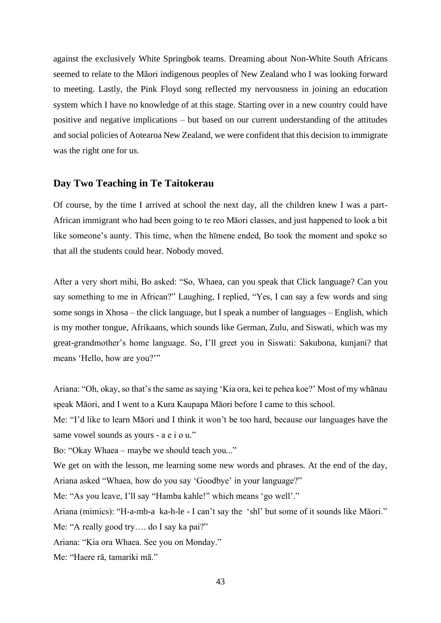against the exclusively White Springbok teams. Dreaming about Non-White South Africans seemed to relate to the Māori indigenous peoples of New Zealand who I was looking forward to meeting. Lastly, the Pink Floyd song reflected my nervousness in joining an education system which I have no knowledge of at this stage. Starting over in a new country could have positive and negative implications – but based on our current understanding of the attitudes and social policies of Aotearoa New Zealand, we were confident that this decision to immigrate was the right one for us.

#### **Day Two Teaching in Te Taitokerau**

Of course, by the time I arrived at school the next day, all the children knew I was a part-African immigrant who had been going to te reo Māori classes, and just happened to look a bit like someone's aunty. This time, when the hīmene ended, Bo took the moment and spoke so that all the students could hear. Nobody moved.

After a very short mihi, Bo asked: "So, Whaea, can you speak that Click language? Can you say something to me in African?" Laughing, I replied, "Yes, I can say a few words and sing some songs in Xhosa – the click language, but I speak a number of languages – English, which is my mother tongue, Afrikaans, which sounds like German, Zulu, and Siswati, which was my great-grandmother's home language. So, I'll greet you in Siswati: Sakubona, kunjani? that means 'Hello, how are you?"

Ariana: "Oh, okay, so that's the same as saying 'Kia ora, kei te pehea koe?' Most of my whānau speak Māori, and I went to a Kura Kaupapa Māori before I came to this school.

Me: "I'd like to learn Māori and I think it won't be too hard, because our languages have the same vowel sounds as yours - a e i o u."

Bo: "Okay Whaea – maybe we should teach you..."

We get on with the lesson, me learning some new words and phrases. At the end of the day, Ariana asked "Whaea, how do you say 'Goodbye' in your language?"

Me: "As you leave, I'll say "Hamba kahle!" which means 'go well'."

Ariana (mimics): "H-a-mb-a ka-h-le - I can't say the 'shl' but some of it sounds like Māori." Me: "A really good try…. do I say ka pai?"

Ariana: "Kia ora Whaea. See you on Monday."

Me: "Haere rā, tamariki mā."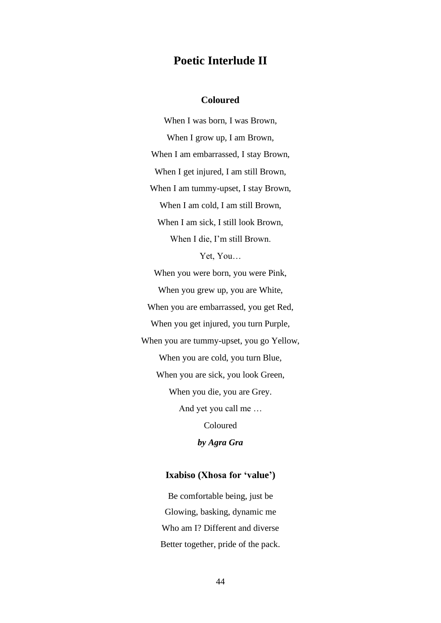### **Poetic Interlude II**

#### **Coloured**

When I was born, I was Brown, When I grow up, I am Brown, When I am embarrassed, I stay Brown, When I get injured, I am still Brown, When I am tummy-upset, I stay Brown, When I am cold, I am still Brown, When I am sick, I still look Brown, When I die, I'm still Brown. Yet, You… When you were born, you were Pink, When you grew up, you are White, When you are embarrassed, you get Red, When you get injured, you turn Purple, When you are tummy-upset, you go Yellow, When you are cold, you turn Blue, When you are sick, you look Green, When you die, you are Grey. And yet you call me … Coloured

*by Agra Gra*

#### **Ixabiso (Xhosa for 'value')**

Be comfortable being, just be Glowing, basking, dynamic me Who am I? Different and diverse Better together, pride of the pack.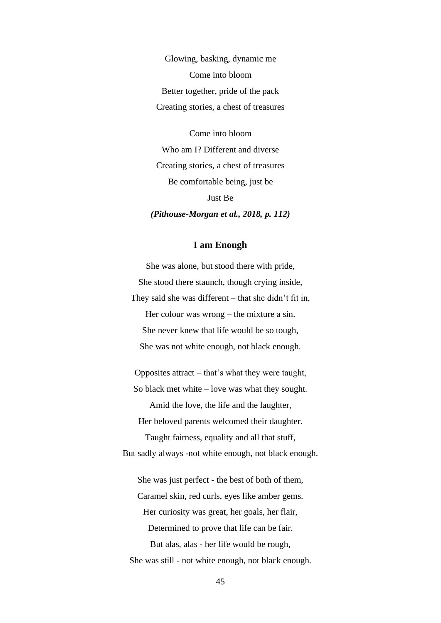Glowing, basking, dynamic me Come into bloom Better together, pride of the pack Creating stories, a chest of treasures

Come into bloom Who am I? Different and diverse Creating stories, a chest of treasures Be comfortable being, just be Just Be *(Pithouse-Morgan et al., 2018, p. 112)*

#### **I am Enough**

She was alone, but stood there with pride, She stood there staunch, though crying inside, They said she was different – that she didn't fit in, Her colour was wrong – the mixture a sin. She never knew that life would be so tough, She was not white enough, not black enough.

Opposites attract – that's what they were taught, So black met white – love was what they sought. Amid the love, the life and the laughter,

Her beloved parents welcomed their daughter.

Taught fairness, equality and all that stuff, But sadly always -not white enough, not black enough.

She was just perfect - the best of both of them, Caramel skin, red curls, eyes like amber gems. Her curiosity was great, her goals, her flair, Determined to prove that life can be fair. But alas, alas - her life would be rough, She was still - not white enough, not black enough.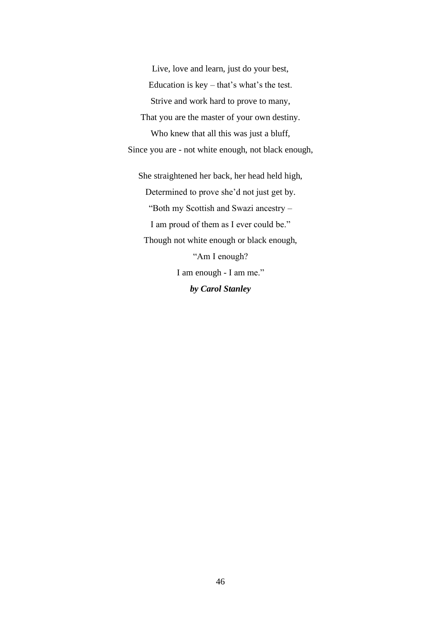Live, love and learn, just do your best, Education is  $key - that's what's the test.$ Strive and work hard to prove to many, That you are the master of your own destiny. Who knew that all this was just a bluff, Since you are - not white enough, not black enough, She straightened her back, her head held high, Determined to prove she'd not just get by.

"Both my Scottish and Swazi ancestry – I am proud of them as I ever could be." Though not white enough or black enough, "Am I enough? I am enough - I am me."

*by Carol Stanley*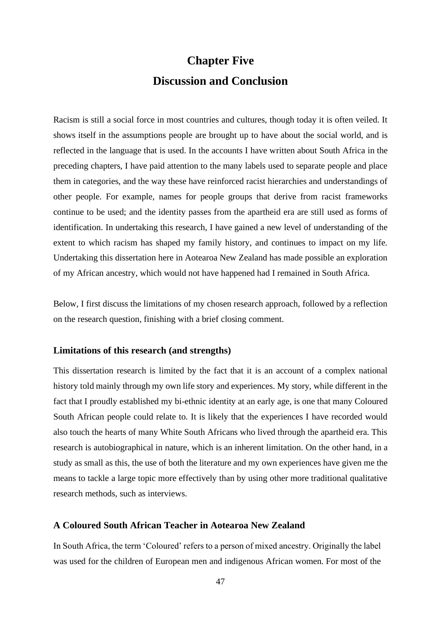## **Chapter Five Discussion and Conclusion**

Racism is still a social force in most countries and cultures, though today it is often veiled. It shows itself in the assumptions people are brought up to have about the social world, and is reflected in the language that is used. In the accounts I have written about South Africa in the preceding chapters, I have paid attention to the many labels used to separate people and place them in categories, and the way these have reinforced racist hierarchies and understandings of other people. For example, names for people groups that derive from racist frameworks continue to be used; and the identity passes from the apartheid era are still used as forms of identification. In undertaking this research, I have gained a new level of understanding of the extent to which racism has shaped my family history, and continues to impact on my life. Undertaking this dissertation here in Aotearoa New Zealand has made possible an exploration of my African ancestry, which would not have happened had I remained in South Africa.

Below, I first discuss the limitations of my chosen research approach, followed by a reflection on the research question, finishing with a brief closing comment.

#### **Limitations of this research (and strengths)**

This dissertation research is limited by the fact that it is an account of a complex national history told mainly through my own life story and experiences. My story, while different in the fact that I proudly established my bi-ethnic identity at an early age, is one that many Coloured South African people could relate to. It is likely that the experiences I have recorded would also touch the hearts of many White South Africans who lived through the apartheid era. This research is autobiographical in nature, which is an inherent limitation. On the other hand, in a study as small as this, the use of both the literature and my own experiences have given me the means to tackle a large topic more effectively than by using other more traditional qualitative research methods, such as interviews.

#### **A Coloured South African Teacher in Aotearoa New Zealand**

In South Africa, the term 'Coloured' refers to a person of mixed ancestry. Originally the label was used for the children of European men and indigenous African women. For most of the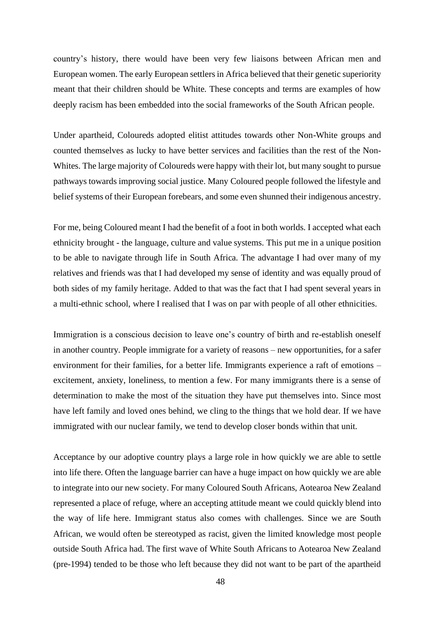country's history, there would have been very few liaisons between African men and European women. The early European settlers in Africa believed that their genetic superiority meant that their children should be White. These concepts and terms are examples of how deeply racism has been embedded into the social frameworks of the South African people.

Under apartheid, Coloureds adopted elitist attitudes towards other Non-White groups and counted themselves as lucky to have better services and facilities than the rest of the Non-Whites. The large majority of Coloureds were happy with their lot, but many sought to pursue pathways towards improving social justice. Many Coloured people followed the lifestyle and belief systems of their European forebears, and some even shunned their indigenous ancestry.

For me, being Coloured meant I had the benefit of a foot in both worlds. I accepted what each ethnicity brought - the language, culture and value systems. This put me in a unique position to be able to navigate through life in South Africa. The advantage I had over many of my relatives and friends was that I had developed my sense of identity and was equally proud of both sides of my family heritage. Added to that was the fact that I had spent several years in a multi-ethnic school, where I realised that I was on par with people of all other ethnicities.

Immigration is a conscious decision to leave one's country of birth and re-establish oneself in another country. People immigrate for a variety of reasons – new opportunities, for a safer environment for their families, for a better life. Immigrants experience a raft of emotions – excitement, anxiety, loneliness, to mention a few. For many immigrants there is a sense of determination to make the most of the situation they have put themselves into. Since most have left family and loved ones behind, we cling to the things that we hold dear. If we have immigrated with our nuclear family, we tend to develop closer bonds within that unit.

Acceptance by our adoptive country plays a large role in how quickly we are able to settle into life there. Often the language barrier can have a huge impact on how quickly we are able to integrate into our new society. For many Coloured South Africans, Aotearoa New Zealand represented a place of refuge, where an accepting attitude meant we could quickly blend into the way of life here. Immigrant status also comes with challenges. Since we are South African, we would often be stereotyped as racist, given the limited knowledge most people outside South Africa had. The first wave of White South Africans to Aotearoa New Zealand (pre-1994) tended to be those who left because they did not want to be part of the apartheid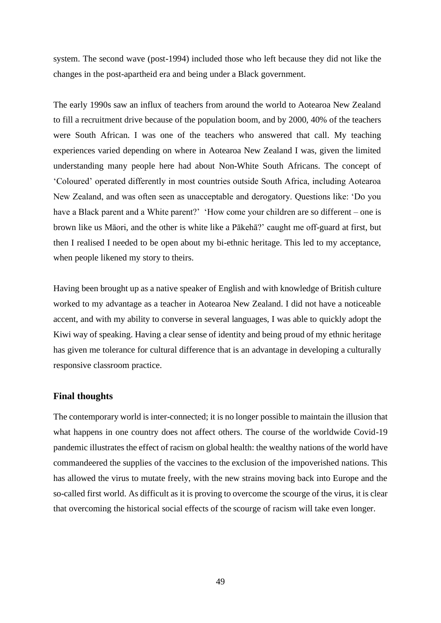system. The second wave (post-1994) included those who left because they did not like the changes in the post-apartheid era and being under a Black government.

The early 1990s saw an influx of teachers from around the world to Aotearoa New Zealand to fill a recruitment drive because of the population boom, and by 2000, 40% of the teachers were South African. I was one of the teachers who answered that call. My teaching experiences varied depending on where in Aotearoa New Zealand I was, given the limited understanding many people here had about Non-White South Africans. The concept of 'Coloured' operated differently in most countries outside South Africa, including Aotearoa New Zealand, and was often seen as unacceptable and derogatory. Questions like: 'Do you have a Black parent and a White parent?' 'How come your children are so different – one is brown like us Māori, and the other is white like a Pākehā?' caught me off-guard at first, but then I realised I needed to be open about my bi-ethnic heritage. This led to my acceptance, when people likened my story to theirs.

Having been brought up as a native speaker of English and with knowledge of British culture worked to my advantage as a teacher in Aotearoa New Zealand. I did not have a noticeable accent, and with my ability to converse in several languages, I was able to quickly adopt the Kiwi way of speaking. Having a clear sense of identity and being proud of my ethnic heritage has given me tolerance for cultural difference that is an advantage in developing a culturally responsive classroom practice.

#### **Final thoughts**

The contemporary world is inter-connected; it is no longer possible to maintain the illusion that what happens in one country does not affect others. The course of the worldwide Covid-19 pandemic illustrates the effect of racism on global health: the wealthy nations of the world have commandeered the supplies of the vaccines to the exclusion of the impoverished nations. This has allowed the virus to mutate freely, with the new strains moving back into Europe and the so-called first world. As difficult as it is proving to overcome the scourge of the virus, it is clear that overcoming the historical social effects of the scourge of racism will take even longer.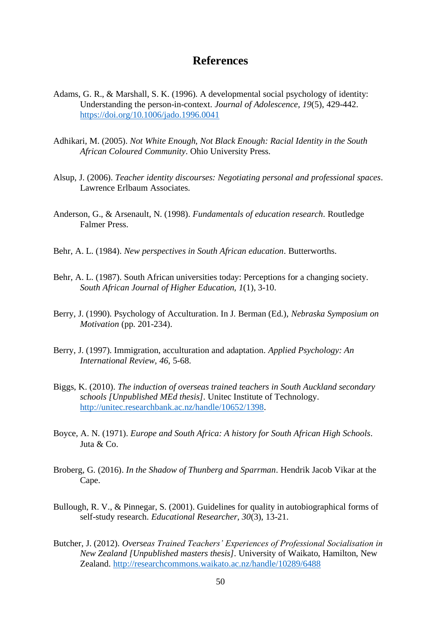### **References**

- Adams, G. R., & Marshall, S. K. (1996). A developmental social psychology of identity: Understanding the person-in-context. *Journal of Adolescence, 19*(5), 429-442. https://doi.org/10.1006/jado.1996.0041
- Adhikari, M. (2005). *Not White Enough, Not Black Enough: Racial Identity in the South African Coloured Community*. Ohio University Press.
- Alsup, J. (2006). *Teacher identity discourses: Negotiating personal and professional spaces*. Lawrence Erlbaum Associates.
- Anderson, G., & Arsenault, N. (1998). *Fundamentals of education research*. Routledge Falmer Press.
- Behr, A. L. (1984). *New perspectives in South African education*. Butterworths.
- Behr, A. L. (1987). South African universities today: Perceptions for a changing society. *South African Journal of Higher Education, 1*(1), 3-10.
- Berry, J. (1990). Psychology of Acculturation. In J. Berman (Ed.), *Nebraska Symposium on Motivation* (pp. 201-234).
- Berry, J. (1997). Immigration, acculturation and adaptation. *Applied Psychology: An International Review, 46*, 5-68.
- Biggs, K. (2010). *The induction of overseas trained teachers in South Auckland secondary schools [Unpublished MEd thesis]*. Unitec Institute of Technology. http://unitec.researchbank.ac.nz/handle/10652/1398.
- Boyce, A. N. (1971). *Europe and South Africa: A history for South African High Schools*. Juta & Co.
- Broberg, G. (2016). *In the Shadow of Thunberg and Sparrman*. Hendrik Jacob Vikar at the Cape.
- Bullough, R. V., & Pinnegar, S. (2001). Guidelines for quality in autobiographical forms of self-study research. *Educational Researcher, 30*(3), 13-21.
- Butcher, J. (2012). *Overseas Trained Teachers' Experiences of Professional Socialisation in New Zealand [Unpublished masters thesis]*. University of Waikato, Hamilton, New Zealand. http://researchcommons.waikato.ac.nz/handle/10289/6488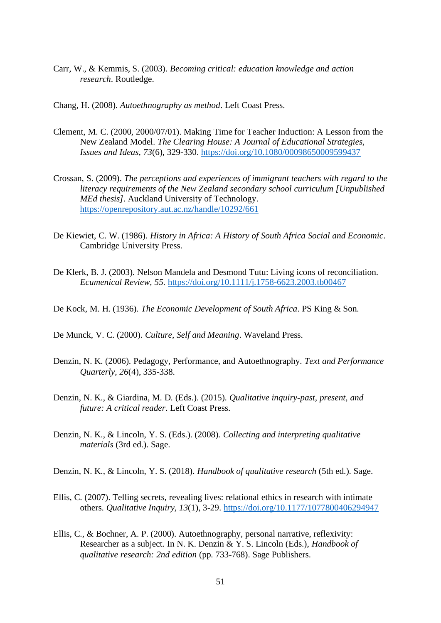- Carr, W., & Kemmis, S. (2003). *Becoming critical: education knowledge and action research*. Routledge.
- Chang, H. (2008). *Autoethnography as method*. Left Coast Press.
- Clement, M. C. (2000, 2000/07/01). Making Time for Teacher Induction: A Lesson from the New Zealand Model. *The Clearing House: A Journal of Educational Strategies, Issues and Ideas, 73*(6), 329-330. https://doi.org/10.1080/00098650009599437
- Crossan, S. (2009). *The perceptions and experiences of immigrant teachers with regard to the literacy requirements of the New Zealand secondary school curriculum [Unpublished MEd thesis]*. Auckland University of Technology. https://openrepository.aut.ac.nz/handle/10292/661
- De Kiewiet, C. W. (1986). *History in Africa: A History of South Africa Social and Economic*. Cambridge University Press.
- De Klerk, B. J. (2003). Nelson Mandela and Desmond Tutu: Living icons of reconciliation. *Ecumenical Review, 55*. https://doi.org/10.1111/j.1758-6623.2003.tb00467
- De Kock, M. H. (1936). *The Economic Development of South Africa*. PS King & Son.
- De Munck, V. C. (2000). *Culture, Self and Meaning*. Waveland Press.
- Denzin, N. K. (2006). Pedagogy, Performance, and Autoethnography. *Text and Performance Quarterly, 26*(4), 335-338.
- Denzin, N. K., & Giardina, M. D. (Eds.). (2015). *Qualitative inquiry-past, present, and future: A critical reader*. Left Coast Press.
- Denzin, N. K., & Lincoln, Y. S. (Eds.). (2008). *Collecting and interpreting qualitative materials* (3rd ed.). Sage.
- Denzin, N. K., & Lincoln, Y. S. (2018). *Handbook of qualitative research* (5th ed.). Sage.
- Ellis, C. (2007). Telling secrets, revealing lives: relational ethics in research with intimate others. *Qualitative Inquiry, 13*(1), 3-29. https://doi.org/10.1177/1077800406294947
- Ellis, C., & Bochner, A. P. (2000). Autoethnography, personal narrative, reflexivity: Researcher as a subject. In N. K. Denzin & Y. S. Lincoln (Eds.), *Handbook of qualitative research: 2nd edition* (pp. 733-768). Sage Publishers.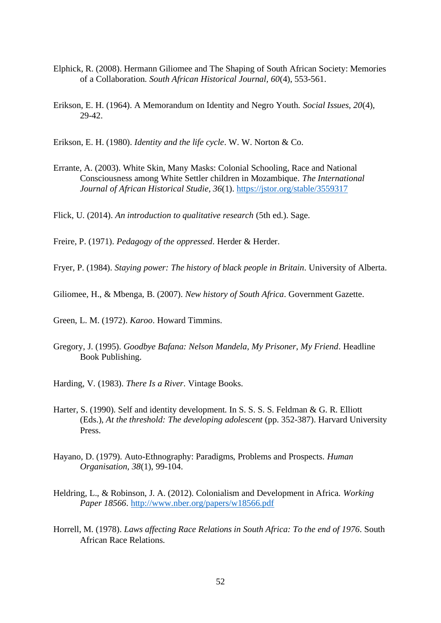- Elphick, R. (2008). Hermann Giliomee and The Shaping of South African Society: Memories of a Collaboration. *South African Historical Journal, 60*(4), 553-561.
- Erikson, E. H. (1964). A Memorandum on Identity and Negro Youth. *Social Issues, 20*(4), 29-42.

Erikson, E. H. (1980). *Identity and the life cycle*. W. W. Norton & Co.

Errante, A. (2003). White Skin, Many Masks: Colonial Schooling, Race and National Consciousness among White Settler children in Mozambique. *The International Journal of African Historical Studie, 36*(1). https://jstor.org/stable/3559317

Flick, U. (2014). *An introduction to qualitative research* (5th ed.). Sage.

Freire, P. (1971). *Pedagogy of the oppressed*. Herder & Herder.

Fryer, P. (1984). *Staying power: The history of black people in Britain*. University of Alberta.

Giliomee, H., & Mbenga, B. (2007). *New history of South Africa*. Government Gazette.

Green, L. M. (1972). *Karoo*. Howard Timmins.

Gregory, J. (1995). *Goodbye Bafana: Nelson Mandela, My Prisoner, My Friend*. Headline Book Publishing.

Harding, V. (1983). *There Is a River*. Vintage Books.

- Harter, S. (1990). Self and identity development. In S. S. S. S. Feldman & G. R. Elliott (Eds.), *At the threshold: The developing adolescent* (pp. 352-387). Harvard University Press.
- Hayano, D. (1979). Auto-Ethnography: Paradigms, Problems and Prospects. *Human Organisation, 38*(1), 99-104.
- Heldring, L., & Robinson, J. A. (2012). Colonialism and Development in Africa. *Working Paper 18566*. http://www.nber.org/papers/w18566.pdf
- Horrell, M. (1978). *Laws affecting Race Relations in South Africa: To the end of 1976*. South African Race Relations.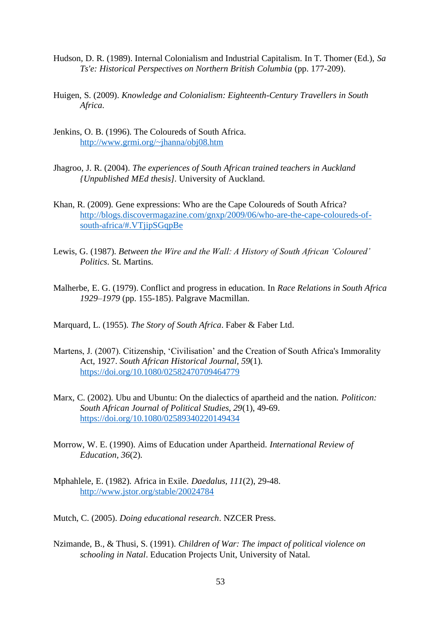- Hudson, D. R. (1989). Internal Colonialism and Industrial Capitalism. In T. Thomer (Ed.), *Sa Ts'e: Historical Perspectives on Northern British Columbia* (pp. 177-209).
- Huigen, S. (2009). *Knowledge and Colonialism: Eighteenth-Century Travellers in South Africa*.
- Jenkins, O. B. (1996). The Coloureds of South Africa. http://www.grmi.org/~jhanna/obj08.htm
- Jhagroo, J. R. (2004). *The experiences of South African trained teachers in Auckland {Unpublished MEd thesis]*. University of Auckland.
- Khan, R. (2009). Gene expressions: Who are the Cape Coloureds of South Africa? http://blogs.discovermagazine.com/gnxp/2009/06/who-are-the-cape-coloureds-ofsouth-africa/#.VTjipSGqpBe
- Lewis, G. (1987). *Between the Wire and the Wall: A History of South African 'Coloured' Politics*. St. Martins.
- Malherbe, E. G. (1979). Conflict and progress in education. In *Race Relations in South Africa 1929–1979* (pp. 155-185). Palgrave Macmillan.
- Marquard, L. (1955). *The Story of South Africa*. Faber & Faber Ltd.
- Martens, J. (2007). Citizenship, 'Civilisation' and the Creation of South Africa's Immorality Act, 1927. *South African Historical Journal, 59*(1). https://doi.org/10.1080/02582470709464779
- Marx, C. (2002). Ubu and Ubuntu: On the dialectics of apartheid and the nation. *Politicon: South African Journal of Political Studies, 29*(1), 49-69. https://doi.org/10.1080/02589340220149434
- Morrow, W. E. (1990). Aims of Education under Apartheid. *International Review of Education, 36*(2).
- Mphahlele, E. (1982). Africa in Exile. *Daedalus, 111*(2), 29-48. http://www.jstor.org/stable/20024784
- Mutch, C. (2005). *Doing educational research*. NZCER Press.
- Nzimande, B., & Thusi, S. (1991). *Children of War: The impact of political violence on schooling in Natal*. Education Projects Unit, University of Natal.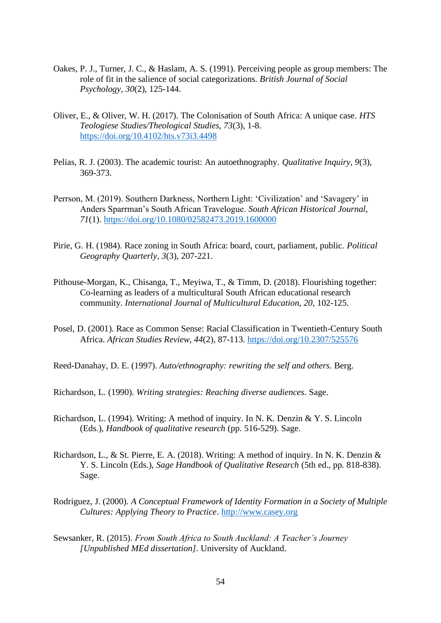- Oakes, P. J., Turner, J. C., & Haslam, A. S. (1991). Perceiving people as group members: The role of fit in the salience of social categorizations. *British Journal of Social Psychology, 30*(2), 125-144.
- Oliver, E., & Oliver, W. H. (2017). The Colonisation of South Africa: A unique case. *HTS Teologiese Studies/Theological Studies, 73*(3), 1-8. https://doi.org/10.4102/hts.v73i3.4498
- Pelias, R. J. (2003). The academic tourist: An autoethnography. *Qualitative Inquiry, 9*(3), 369-373.
- Perrson, M. (2019). Southern Darkness, Northern Light: 'Civilization' and 'Savagery' in Anders Sparrman's South African Travelogue. *South African Historical Journal, 71*(1). https://doi.org/10.1080/02582473.2019.1600000
- Pirie, G. H. (1984). Race zoning in South Africa: board, court, parliament, public. *Political Geography Quarterly, 3*(3), 207-221.
- Pithouse-Morgan, K., Chisanga, T., Meyiwa, T., & Timm, D. (2018). Flourishing together: Co-learning as leaders of a multicultural South African educational research community. *International Journal of Multicultural Education, 20*, 102-125.
- Posel, D. (2001). Race as Common Sense: Racial Classification in Twentieth-Century South Africa. *African Studies Review, 44*(2), 87-113. https://doi.org/10.2307/525576

Reed-Danahay, D. E. (1997). *Auto/ethnography: rewriting the self and others*. Berg.

Richardson, L. (1990). *Writing strategies: Reaching diverse audiences*. Sage.

- Richardson, L. (1994). Writing: A method of inquiry. In N. K. Denzin & Y. S. Lincoln (Eds.), *Handbook of qualitative research* (pp. 516-529). Sage.
- Richardson, L., & St. Pierre, E. A. (2018). Writing: A method of inquiry. In N. K. Denzin & Y. S. Lincoln (Eds.), *Sage Handbook of Qualitative Research* (5th ed., pp. 818-838). Sage.
- Rodriguez, J. (2000). *A Conceptual Framework of Identity Formation in a Society of Multiple Cultures: Applying Theory to Practice*. http://www.casey.org
- Sewsanker, R. (2015). *From South Africa to South Auckland: A Teacher's Journey [Unpublished MEd dissertation]*. University of Auckland.